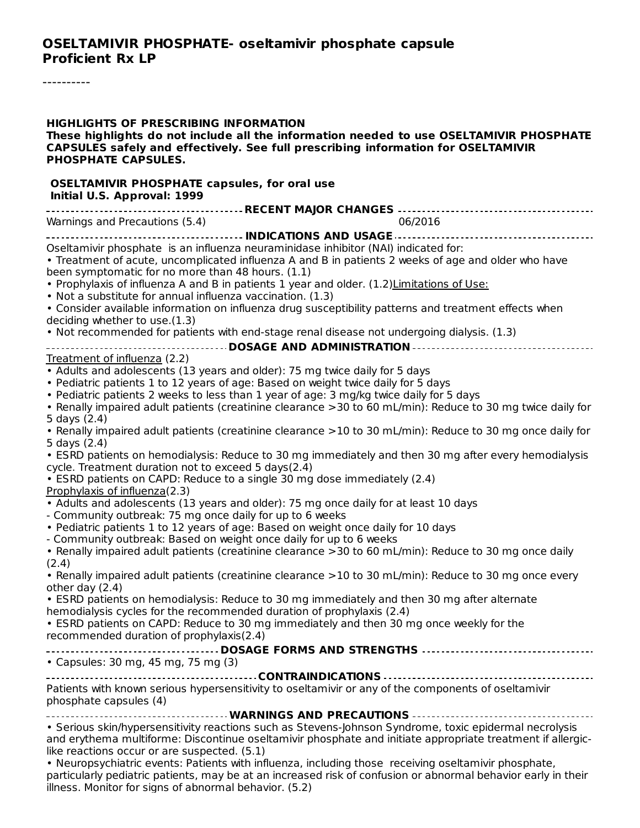----------

| <b>HIGHLIGHTS OF PRESCRIBING INFORMATION</b><br>These highlights do not include all the information needed to use OSELTAMIVIR PHOSPHATE<br>CAPSULES safely and effectively. See full prescribing information for OSELTAMIVIR<br><b>PHOSPHATE CAPSULES.</b>                                                                                                                                                                                                                                                                                                                                                                                                                              |
|-----------------------------------------------------------------------------------------------------------------------------------------------------------------------------------------------------------------------------------------------------------------------------------------------------------------------------------------------------------------------------------------------------------------------------------------------------------------------------------------------------------------------------------------------------------------------------------------------------------------------------------------------------------------------------------------|
| <b>OSELTAMIVIR PHOSPHATE capsules, for oral use</b><br>Initial U.S. Approval: 1999                                                                                                                                                                                                                                                                                                                                                                                                                                                                                                                                                                                                      |
|                                                                                                                                                                                                                                                                                                                                                                                                                                                                                                                                                                                                                                                                                         |
| Warnings and Precautions (5.4)<br>06/2016                                                                                                                                                                                                                                                                                                                                                                                                                                                                                                                                                                                                                                               |
| Oseltamivir phosphate is an influenza neuraminidase inhibitor (NAI) indicated for:<br>• Treatment of acute, uncomplicated influenza A and B in patients 2 weeks of age and older who have<br>been symptomatic for no more than 48 hours. (1.1)<br>. Prophylaxis of influenza A and B in patients 1 year and older. (1.2) Limitations of Use:<br>• Not a substitute for annual influenza vaccination. (1.3)<br>• Consider available information on influenza drug susceptibility patterns and treatment effects when<br>deciding whether to use.(1.3)                                                                                                                                    |
| . Not recommended for patients with end-stage renal disease not undergoing dialysis. (1.3)                                                                                                                                                                                                                                                                                                                                                                                                                                                                                                                                                                                              |
| -----------------------------------DOSAGE AND ADMINISTRATION---------------------------------                                                                                                                                                                                                                                                                                                                                                                                                                                                                                                                                                                                           |
| Treatment of influenza (2.2)                                                                                                                                                                                                                                                                                                                                                                                                                                                                                                                                                                                                                                                            |
| • Adults and adolescents (13 years and older): 75 mg twice daily for 5 days<br>• Pediatric patients 1 to 12 years of age: Based on weight twice daily for 5 days<br>• Pediatric patients 2 weeks to less than 1 year of age: 3 mg/kg twice daily for 5 days<br>• Renally impaired adult patients (creatinine clearance > 30 to 60 mL/min): Reduce to 30 mg twice daily for<br>5 days (2.4)<br>• Renally impaired adult patients (creatinine clearance > 10 to 30 mL/min): Reduce to 30 mg once daily for<br>5 days (2.4)<br>• ESRD patients on hemodialysis: Reduce to 30 mg immediately and then 30 mg after every hemodialysis<br>cycle. Treatment duration not to exceed 5 days(2.4) |
| • ESRD patients on CAPD: Reduce to a single 30 mg dose immediately (2.4)                                                                                                                                                                                                                                                                                                                                                                                                                                                                                                                                                                                                                |
| Prophylaxis of influenza(2.3)<br>• Adults and adolescents (13 years and older): 75 mg once daily for at least 10 days<br>- Community outbreak: 75 mg once daily for up to 6 weeks<br>• Pediatric patients 1 to 12 years of age: Based on weight once daily for 10 days<br>- Community outbreak: Based on weight once daily for up to 6 weeks<br>• Renally impaired adult patients (creatinine clearance > 30 to 60 mL/min): Reduce to 30 mg once daily<br>(2.4)                                                                                                                                                                                                                         |
| • Renally impaired adult patients (creatinine clearance > 10 to 30 mL/min): Reduce to 30 mg once every<br>other day $(2.4)$                                                                                                                                                                                                                                                                                                                                                                                                                                                                                                                                                             |
| • ESRD patients on hemodialysis: Reduce to 30 mg immediately and then 30 mg after alternate<br>hemodialysis cycles for the recommended duration of prophylaxis (2.4)<br>• ESRD patients on CAPD: Reduce to 30 mg immediately and then 30 mg once weekly for the<br>recommended duration of prophylaxis(2.4)                                                                                                                                                                                                                                                                                                                                                                             |
| • Capsules: 30 mg, 45 mg, 75 mg (3)                                                                                                                                                                                                                                                                                                                                                                                                                                                                                                                                                                                                                                                     |
| Patients with known serious hypersensitivity to oseltamivir or any of the components of oseltamivir<br>phosphate capsules (4)                                                                                                                                                                                                                                                                                                                                                                                                                                                                                                                                                           |
| ------------------------------- WARNINGS AND PRECAUTIONS --------------------------------<br>• Serious skin/hypersensitivity reactions such as Stevens-Johnson Syndrome, toxic epidermal necrolysis<br>and erythema multiforme: Discontinue oseltamivir phosphate and initiate appropriate treatment if allergic-<br>like reactions occur or are suspected. (5.1)<br>. Neuropsychiatric events: Patients with influenza, including those receiving oseltamivir phosphate,<br>particularly pediatric patients, may be at an increased risk of confusion or abnormal behavior early in their<br>illness. Monitor for signs of abnormal behavior. (5.2)                                    |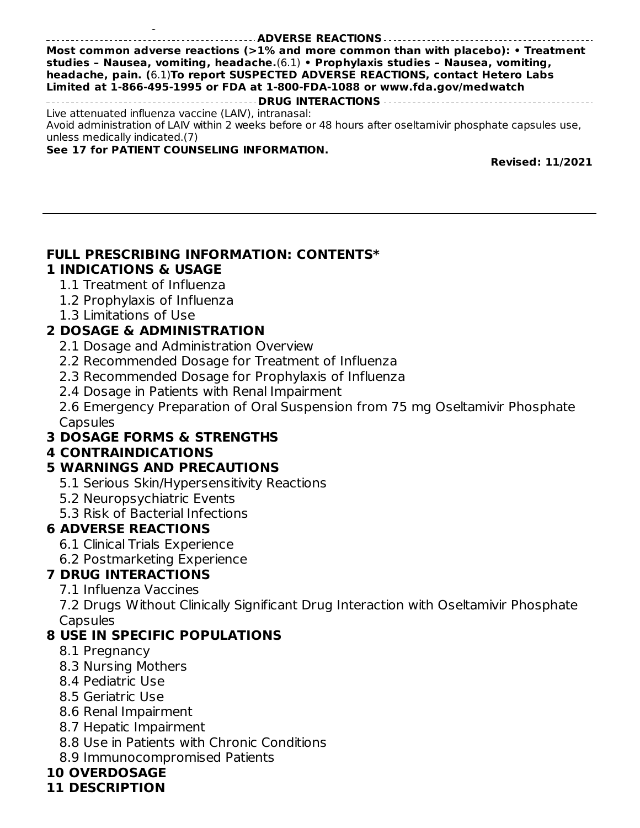#### **ADVERSE REACTIONS**

**Most common adverse reactions (>1% and more common than with placebo): • Treatment studies – Nausea, vomiting, headache.**(6.1) **• Prophylaxis studies – Nausea, vomiting, headache, pain. (**6.1)**To report SUSPECTED ADVERSE REACTIONS, contact Hetero Labs Limited at 1-866-495-1995 or FDA at 1-800-FDA-1088 or www.fda.gov/medwatch DRUG INTERACTIONS**

Live attenuated influenza vaccine (LAIV), intranasal: Avoid administration of LAIV within 2 weeks before or 48 hours after oseltamivir phosphate capsules use, unless medically indicated.(7)

#### **See 17 for PATIENT COUNSELING INFORMATION.**

illness. Monitor for signs of abnormal behavior. (5.2)

**Revised: 11/2021**

#### **FULL PRESCRIBING INFORMATION: CONTENTS\***

#### **1 INDICATIONS & USAGE**

- 1.1 Treatment of Influenza
- 1.2 Prophylaxis of Influenza
- 1.3 Limitations of Use

### **2 DOSAGE & ADMINISTRATION**

- 2.1 Dosage and Administration Overview
- 2.2 Recommended Dosage for Treatment of Influenza
- 2.3 Recommended Dosage for Prophylaxis of Influenza
- 2.4 Dosage in Patients with Renal Impairment

2.6 Emergency Preparation of Oral Suspension from 75 mg Oseltamivir Phosphate **Capsules** 

### **3 DOSAGE FORMS & STRENGTHS**

### **4 CONTRAINDICATIONS**

### **5 WARNINGS AND PRECAUTIONS**

- 5.1 Serious Skin/Hypersensitivity Reactions
- 5.2 Neuropsychiatric Events
- 5.3 Risk of Bacterial Infections

### **6 ADVERSE REACTIONS**

- 6.1 Clinical Trials Experience
- 6.2 Postmarketing Experience

### **7 DRUG INTERACTIONS**

7.1 Influenza Vaccines

7.2 Drugs Without Clinically Significant Drug Interaction with Oseltamivir Phosphate **Capsules** 

### **8 USE IN SPECIFIC POPULATIONS**

- 8.1 Pregnancy
- 8.3 Nursing Mothers
- 8.4 Pediatric Use
- 8.5 Geriatric Use
- 8.6 Renal Impairment
- 8.7 Hepatic Impairment
- 8.8 Use in Patients with Chronic Conditions
- 8.9 Immunocompromised Patients

### **10 OVERDOSAGE**

#### **11 DESCRIPTION**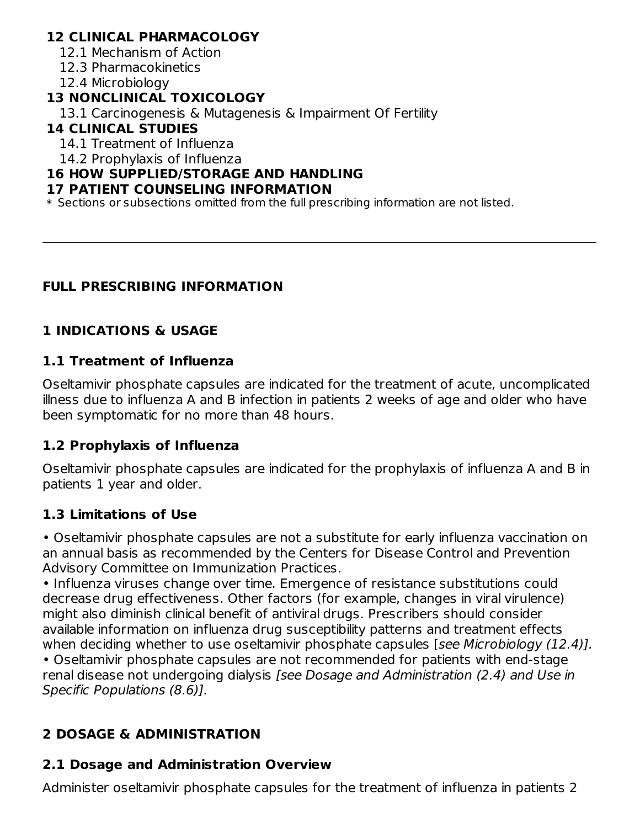## **12 CLINICAL PHARMACOLOGY**

12.1 Mechanism of Action

12.3 Pharmacokinetics

12.4 Microbiology

## **13 NONCLINICAL TOXICOLOGY**

13.1 Carcinogenesis & Mutagenesis & Impairment Of Fertility

### **14 CLINICAL STUDIES**

14.1 Treatment of Influenza

14.2 Prophylaxis of Influenza

#### **16 HOW SUPPLIED/STORAGE AND HANDLING**

#### **17 PATIENT COUNSELING INFORMATION**

\* Sections or subsections omitted from the full prescribing information are not listed.

## **FULL PRESCRIBING INFORMATION**

# **1 INDICATIONS & USAGE**

### **1.1 Treatment of Influenza**

Oseltamivir phosphate capsules are indicated for the treatment of acute, uncomplicated illness due to influenza A and B infection in patients 2 weeks of age and older who have been symptomatic for no more than 48 hours.

### **1.2 Prophylaxis of Influenza**

Oseltamivir phosphate capsules are indicated for the prophylaxis of influenza A and B in patients 1 year and older.

### **1.3 Limitations of Use**

• Oseltamivir phosphate capsules are not a substitute for early influenza vaccination on an annual basis as recommended by the Centers for Disease Control and Prevention Advisory Committee on Immunization Practices.

• Influenza viruses change over time. Emergence of resistance substitutions could decrease drug effectiveness. Other factors (for example, changes in viral virulence) might also diminish clinical benefit of antiviral drugs. Prescribers should consider available information on influenza drug susceptibility patterns and treatment effects when deciding whether to use oseltamivir phosphate capsules [see Microbiology (12.4)]. • Oseltamivir phosphate capsules are not recommended for patients with end-stage

renal disease not undergoing dialysis [see Dosage and Administration (2.4) and Use in Specific Populations (8.6)].

# **2 DOSAGE & ADMINISTRATION**

# **2.1 Dosage and Administration Overview**

Administer oseltamivir phosphate capsules for the treatment of influenza in patients 2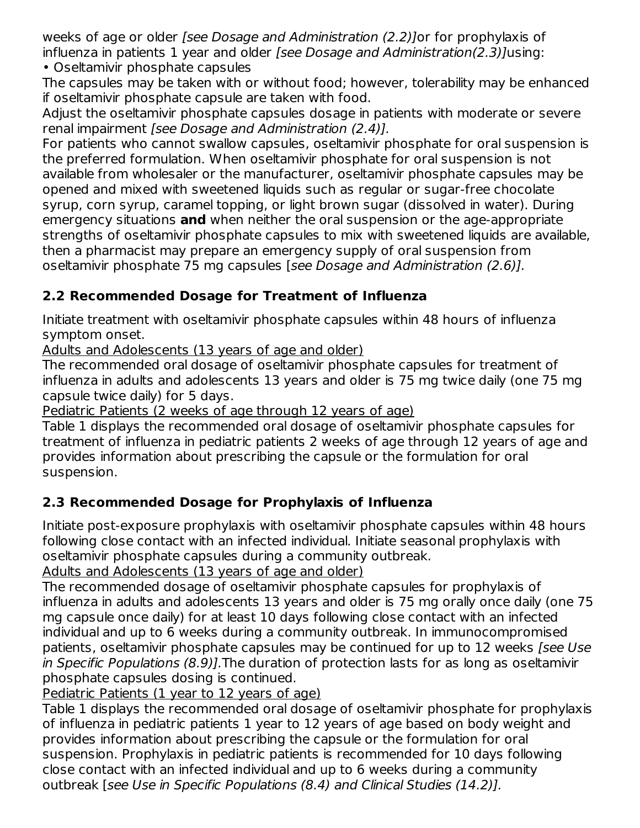weeks of age or older *[see Dosage and Administration (2.2)* Jor for prophylaxis of influenza in patients 1 year and older [see Dosage and Administration(2.3)]using: • Oseltamivir phosphate capsules

The capsules may be taken with or without food; however, tolerability may be enhanced if oseltamivir phosphate capsule are taken with food.

Adjust the oseltamivir phosphate capsules dosage in patients with moderate or severe renal impairment [see Dosage and Administration (2.4)].

For patients who cannot swallow capsules, oseltamivir phosphate for oral suspension is the preferred formulation. When oseltamivir phosphate for oral suspension is not available from wholesaler or the manufacturer, oseltamivir phosphate capsules may be opened and mixed with sweetened liquids such as regular or sugar-free chocolate syrup, corn syrup, caramel topping, or light brown sugar (dissolved in water). During emergency situations **and** when neither the oral suspension or the age-appropriate strengths of oseltamivir phosphate capsules to mix with sweetened liquids are available, then a pharmacist may prepare an emergency supply of oral suspension from oseltamivir phosphate 75 mg capsules [see Dosage and Administration (2.6)].

# **2.2 Recommended Dosage for Treatment of Influenza**

Initiate treatment with oseltamivir phosphate capsules within 48 hours of influenza symptom onset.

Adults and Adolescents (13 years of age and older)

The recommended oral dosage of oseltamivir phosphate capsules for treatment of influenza in adults and adolescents 13 years and older is 75 mg twice daily (one 75 mg capsule twice daily) for 5 days.

Pediatric Patients (2 weeks of age through 12 years of age)

Table 1 displays the recommended oral dosage of oseltamivir phosphate capsules for treatment of influenza in pediatric patients 2 weeks of age through 12 years of age and provides information about prescribing the capsule or the formulation for oral suspension.

# **2.3 Recommended Dosage for Prophylaxis of Influenza**

Initiate post-exposure prophylaxis with oseltamivir phosphate capsules within 48 hours following close contact with an infected individual. Initiate seasonal prophylaxis with oseltamivir phosphate capsules during a community outbreak.

Adults and Adolescents (13 years of age and older)

The recommended dosage of oseltamivir phosphate capsules for prophylaxis of influenza in adults and adolescents 13 years and older is 75 mg orally once daily (one 75 mg capsule once daily) for at least 10 days following close contact with an infected individual and up to 6 weeks during a community outbreak. In immunocompromised patients, oseltamivir phosphate capsules may be continued for up to 12 weeks [see Use] in Specific Populations (8.9)].The duration of protection lasts for as long as oseltamivir phosphate capsules dosing is continued.

Pediatric Patients (1 year to 12 years of age)

Table 1 displays the recommended oral dosage of oseltamivir phosphate for prophylaxis of influenza in pediatric patients 1 year to 12 years of age based on body weight and provides information about prescribing the capsule or the formulation for oral suspension. Prophylaxis in pediatric patients is recommended for 10 days following close contact with an infected individual and up to 6 weeks during a community outbreak [see Use in Specific Populations (8.4) and Clinical Studies (14.2)].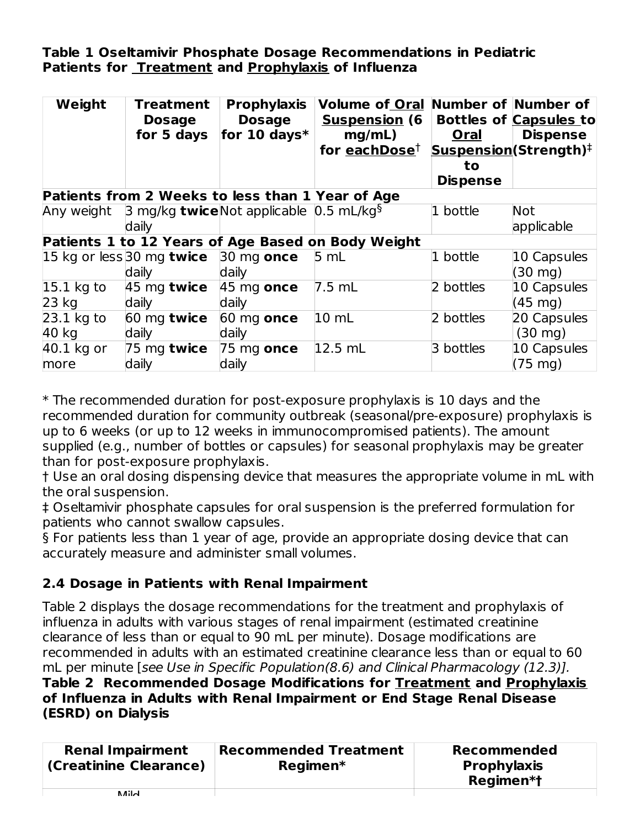## **Table 1 Oseltamivir Phosphate Dosage Recommendations in Pediatric Patients for Treatment and Prophylaxis of Influenza**

| Weight       | Treatment<br><b>Dosage</b><br>for 5 days                               | <b>Prophylaxis</b><br><b>Dosage</b><br>for 10 days $*$ | Volume of Oral Number of Number of<br><u>Suspension</u> (6<br>mg/mL)<br>for each Dose <sup><math>\dagger</math></sup> | Oral<br>to.<br><b>Dispense</b> | <b>Bottles of Capsules to</b><br><b>Dispense</b><br>Suspension(Strength) <sup>‡</sup> |
|--------------|------------------------------------------------------------------------|--------------------------------------------------------|-----------------------------------------------------------------------------------------------------------------------|--------------------------------|---------------------------------------------------------------------------------------|
|              | Patients from 2 Weeks to less than 1 Year of Age                       |                                                        |                                                                                                                       |                                |                                                                                       |
| Any weight   | 3 mg/kg <b>twice</b> Not applicable $\left[0.5 \text{ mL/kg}\right]^5$ |                                                        |                                                                                                                       | $1$ bottle                     | Not                                                                                   |
|              | daily                                                                  |                                                        |                                                                                                                       |                                | applicable                                                                            |
|              |                                                                        |                                                        | Patients 1 to 12 Years of Age Based on Body Weight                                                                    |                                |                                                                                       |
|              | 15 kg or less 30 mg <b>twice</b>                                       | 30 mg once                                             | 5 mL                                                                                                                  | 1 bottle                       | 10 Capsules                                                                           |
|              | daily                                                                  | daily                                                  |                                                                                                                       |                                | $(30 \text{ mg})$                                                                     |
| $15.1$ kg to | $45$ mg twice                                                          | $45$ mg once                                           | 7.5 mL                                                                                                                | 2 bottles                      | 10 Capsules                                                                           |
| $23$ kg      | daily                                                                  | daily                                                  |                                                                                                                       |                                | $(45 \text{ mg})$                                                                     |
| $23.1$ kg to | 60 mg twice                                                            | $60$ mg once                                           | $10 \mathrm{m}$                                                                                                       | 2 bottles                      | 20 Capsules                                                                           |
| 40 kg        | daily                                                                  | daily                                                  |                                                                                                                       |                                | $(30 \text{ mg})$                                                                     |
| 40.1 kg or   | $75$ mg twice                                                          | $75 \text{ mg}$ once                                   | $12.5$ mL                                                                                                             | 3 bottles                      | 10 Capsules                                                                           |
| more         | daily                                                                  | daily                                                  |                                                                                                                       |                                | $(75 \text{ mg})$                                                                     |

\* The recommended duration for post-exposure prophylaxis is 10 days and the recommended duration for community outbreak (seasonal/pre-exposure) prophylaxis is up to 6 weeks (or up to 12 weeks in immunocompromised patients). The amount supplied (e.g., number of bottles or capsules) for seasonal prophylaxis may be greater than for post-exposure prophylaxis.

† Use an oral dosing dispensing device that measures the appropriate volume in mL with the oral suspension.

‡ Oseltamivir phosphate capsules for oral suspension is the preferred formulation for patients who cannot swallow capsules.

§ For patients less than 1 year of age, provide an appropriate dosing device that can accurately measure and administer small volumes.

# **2.4 Dosage in Patients with Renal Impairment**

Table 2 displays the dosage recommendations for the treatment and prophylaxis of influenza in adults with various stages of renal impairment (estimated creatinine clearance of less than or equal to 90 mL per minute). Dosage modifications are recommended in adults with an estimated creatinine clearance less than or equal to 60 mL per minute [see Use in Specific Population(8.6) and Clinical Pharmacology (12.3)].

#### **Table 2 Recommended Dosage Modifications for Treatment and Prophylaxis of Influenza in Adults with Renal Impairment or End Stage Renal Disease (ESRD) on Dialysis**

| <b>Renal Impairment</b><br>(Creatinine Clearance) | <b>Recommended Treatment</b><br>Regimen* | Recommended<br><b>Prophylaxis</b><br>Regimen*t |
|---------------------------------------------------|------------------------------------------|------------------------------------------------|
| .                                                 |                                          |                                                |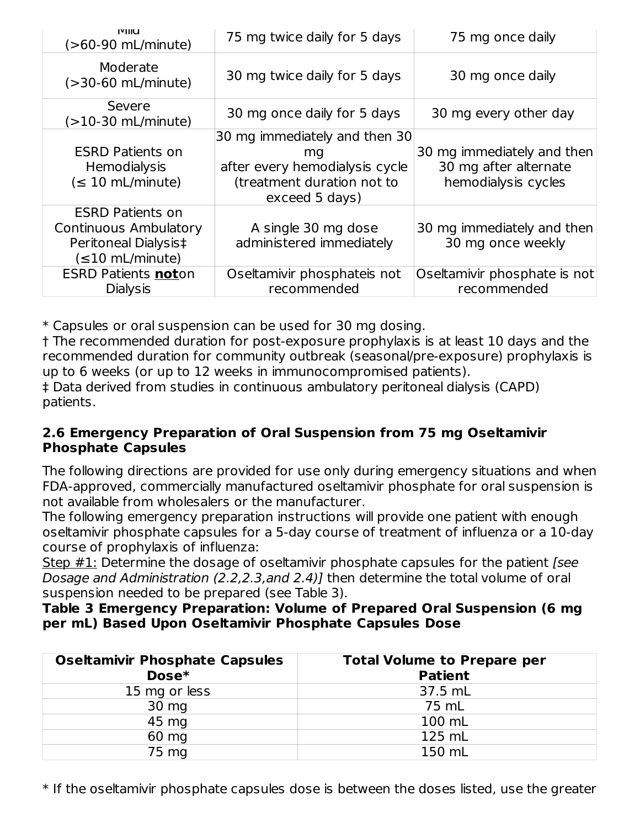| <b>IVIIIU</b><br>(>60-90 mL/minute) | 75 mg twice daily for 5 days                 | 75 mg once daily             |
|-------------------------------------|----------------------------------------------|------------------------------|
| Moderate<br>$(>30-60$ mL/minute)    | 30 mg twice daily for 5 days                 | 30 mg once daily             |
| Severe<br>$(>10-30$ mL/minute)      | 30 mg once daily for 5 days                  | 30 mg every other day        |
|                                     | 30 mg immediately and then 30                |                              |
| <b>ESRD Patients on</b>             | ma                                           | 30 mg immediately and then   |
| Hemodialysis                        | after every hemodialysis cycle               | 30 mg after alternate        |
| $(\leq 10 \text{ mL/minute})$       | (treatment duration not to<br>exceed 5 days) | hemodialysis cycles          |
| <b>ESRD Patients on</b>             |                                              |                              |
| <b>Continuous Ambulatory</b>        | A single 30 mg dose                          | 30 mg immediately and then   |
| Peritoneal Dialysis‡                | administered immediately                     | 30 mg once weekly            |
| $(\leq 10$ mL/minute)               |                                              |                              |
| <b>ESRD Patients noton</b>          | Oseltamivir phosphateis not                  | Oseltamivir phosphate is not |
| <b>Dialysis</b>                     | recommended                                  | recommended                  |

\* Capsules or oral suspension can be used for 30 mg dosing.

† The recommended duration for post-exposure prophylaxis is at least 10 days and the recommended duration for community outbreak (seasonal/pre-exposure) prophylaxis is up to 6 weeks (or up to 12 weeks in immunocompromised patients).

‡ Data derived from studies in continuous ambulatory peritoneal dialysis (CAPD) patients.

## **2.6 Emergency Preparation of Oral Suspension from 75 mg Oseltamivir Phosphate Capsules**

The following directions are provided for use only during emergency situations and when FDA-approved, commercially manufactured oseltamivir phosphate for oral suspension is not available from wholesalers or the manufacturer.

The following emergency preparation instructions will provide one patient with enough oseltamivir phosphate capsules for a 5-day course of treatment of influenza or a 10-day course of prophylaxis of influenza:

Step  $\#1$ : Determine the dosage of oseltamivir phosphate capsules for the patient [see Dosage and Administration (2.2,2.3,and 2.4)] then determine the total volume of oral suspension needed to be prepared (see Table 3).

### **Table 3 Emergency Preparation: Volume of Prepared Oral Suspension (6 mg per mL) Based Upon Oseltamivir Phosphate Capsules Dose**

| <b>Oseltamivir Phosphate Capsules</b><br>Dose* | <b>Total Volume to Prepare per</b><br><b>Patient</b> |
|------------------------------------------------|------------------------------------------------------|
| 15 mg or less                                  | 37.5 mL                                              |
| 30 mg                                          | 75 mL                                                |
| 45 mg                                          | 100 mL                                               |
| 60 mg                                          | 125 mL                                               |
| 75 mg                                          | 150 mL                                               |

\* If the oseltamivir phosphate capsules dose is between the doses listed, use the greater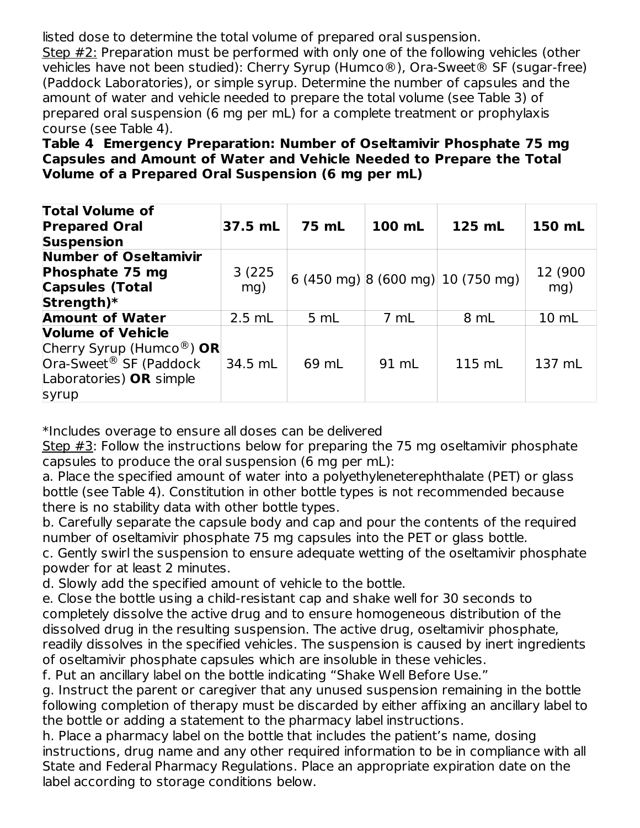listed dose to determine the total volume of prepared oral suspension. Step #2: Preparation must be performed with only one of the following vehicles (other vehicles have not been studied): Cherry Syrup (Humco®), Ora-Sweet® SF (sugar-free) (Paddock Laboratories), or simple syrup. Determine the number of capsules and the amount of water and vehicle needed to prepare the total volume (see Table 3) of prepared oral suspension (6 mg per mL) for a complete treatment or prophylaxis course (see Table 4).

**Table 4 Emergency Preparation: Number of Oseltamivir Phosphate 75 mg Capsules and Amount of Water and Vehicle Needed to Prepare the Total Volume of a Prepared Oral Suspension (6 mg per mL)**

| <b>Total Volume of</b><br><b>Prepared Oral</b><br><b>Suspension</b>                                                            | 37.5 mL       | 75 mL | 100 mL | 125 mL                            | 150 mL          |
|--------------------------------------------------------------------------------------------------------------------------------|---------------|-------|--------|-----------------------------------|-----------------|
| <b>Number of Oseltamivir</b><br>Phosphate 75 mg<br><b>Capsules (Total</b><br>Strength)*                                        | 3(225)<br>mg) |       |        | 6 (450 mg) 8 (600 mg) 10 (750 mg) | 12 (900)<br>mq) |
| <b>Amount of Water</b>                                                                                                         | $2.5$ mL      | 5 mL  | 7 mL   | 8 mL                              | 10 mL           |
| <b>Volume of Vehicle</b><br>Cherry Syrup (Humco®) OR<br>Ora-Sweet <sup>®</sup> SF (Paddock<br>Laboratories) OR simple<br>syrup | 34.5 mL       | 69 mL | 91 mL  | 115 mL                            | 137 mL          |

\*Includes overage to ensure all doses can be delivered

Step #3: Follow the instructions below for preparing the 75 mg oseltamivir phosphate capsules to produce the oral suspension (6 mg per mL):

a. Place the specified amount of water into a polyethyleneterephthalate (PET) or glass bottle (see Table 4). Constitution in other bottle types is not recommended because there is no stability data with other bottle types.

b. Carefully separate the capsule body and cap and pour the contents of the required number of oseltamivir phosphate 75 mg capsules into the PET or glass bottle.

c. Gently swirl the suspension to ensure adequate wetting of the oseltamivir phosphate powder for at least 2 minutes.

d. Slowly add the specified amount of vehicle to the bottle.

e. Close the bottle using a child-resistant cap and shake well for 30 seconds to completely dissolve the active drug and to ensure homogeneous distribution of the dissolved drug in the resulting suspension. The active drug, oseltamivir phosphate, readily dissolves in the specified vehicles. The suspension is caused by inert ingredients of oseltamivir phosphate capsules which are insoluble in these vehicles.

f. Put an ancillary label on the bottle indicating "Shake Well Before Use."

g. Instruct the parent or caregiver that any unused suspension remaining in the bottle following completion of therapy must be discarded by either affixing an ancillary label to the bottle or adding a statement to the pharmacy label instructions.

h. Place a pharmacy label on the bottle that includes the patient's name, dosing instructions, drug name and any other required information to be in compliance with all State and Federal Pharmacy Regulations. Place an appropriate expiration date on the label according to storage conditions below.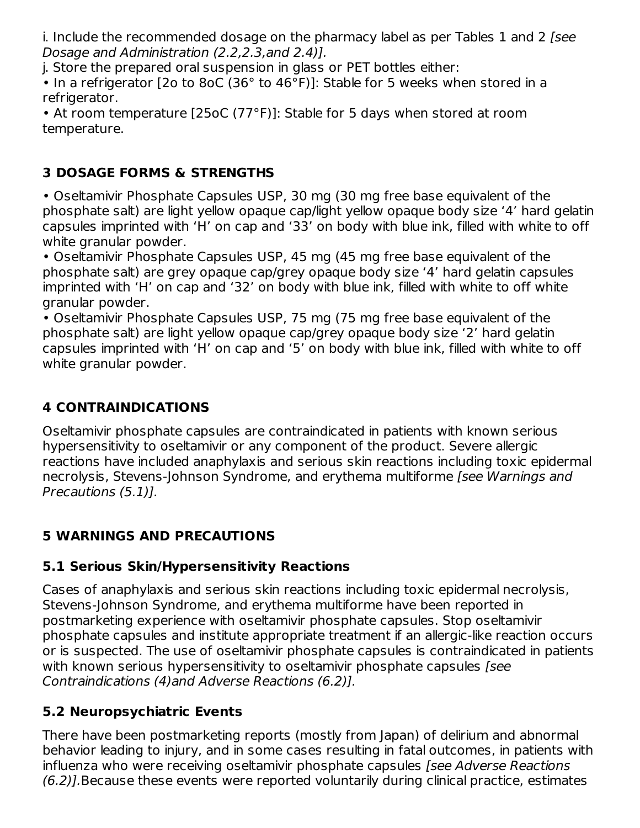i. Include the recommended dosage on the pharmacy label as per Tables 1 and 2 (see Dosage and Administration (2.2,2.3,and 2.4)].

j. Store the prepared oral suspension in glass or PET bottles either:

• In a refrigerator [2o to 8oC (36° to 46°F)]: Stable for 5 weeks when stored in a refrigerator.

• At room temperature [25oC (77°F)]: Stable for 5 days when stored at room temperature.

# **3 DOSAGE FORMS & STRENGTHS**

• Oseltamivir Phosphate Capsules USP, 30 mg (30 mg free base equivalent of the phosphate salt) are light yellow opaque cap/light yellow opaque body size '4' hard gelatin capsules imprinted with 'H' on cap and '33' on body with blue ink, filled with white to off white granular powder.

• Oseltamivir Phosphate Capsules USP, 45 mg (45 mg free base equivalent of the phosphate salt) are grey opaque cap/grey opaque body size '4' hard gelatin capsules imprinted with 'H' on cap and '32' on body with blue ink, filled with white to off white granular powder.

• Oseltamivir Phosphate Capsules USP, 75 mg (75 mg free base equivalent of the phosphate salt) are light yellow opaque cap/grey opaque body size '2' hard gelatin capsules imprinted with 'H' on cap and '5' on body with blue ink, filled with white to off white granular powder.

# **4 CONTRAINDICATIONS**

Oseltamivir phosphate capsules are contraindicated in patients with known serious hypersensitivity to oseltamivir or any component of the product. Severe allergic reactions have included anaphylaxis and serious skin reactions including toxic epidermal necrolysis, Stevens-Johnson Syndrome, and erythema multiforme *[see Warnings and* Precautions (5.1)].

# **5 WARNINGS AND PRECAUTIONS**

# **5.1 Serious Skin/Hypersensitivity Reactions**

Cases of anaphylaxis and serious skin reactions including toxic epidermal necrolysis, Stevens-Johnson Syndrome, and erythema multiforme have been reported in postmarketing experience with oseltamivir phosphate capsules. Stop oseltamivir phosphate capsules and institute appropriate treatment if an allergic-like reaction occurs or is suspected. The use of oseltamivir phosphate capsules is contraindicated in patients with known serious hypersensitivity to oseltamivir phosphate capsules [see Contraindications (4)and Adverse Reactions (6.2)].

# **5.2 Neuropsychiatric Events**

There have been postmarketing reports (mostly from Japan) of delirium and abnormal behavior leading to injury, and in some cases resulting in fatal outcomes, in patients with influenza who were receiving oseltamivir phosphate capsules *[see Adverse Reactions* (6.2)].Because these events were reported voluntarily during clinical practice, estimates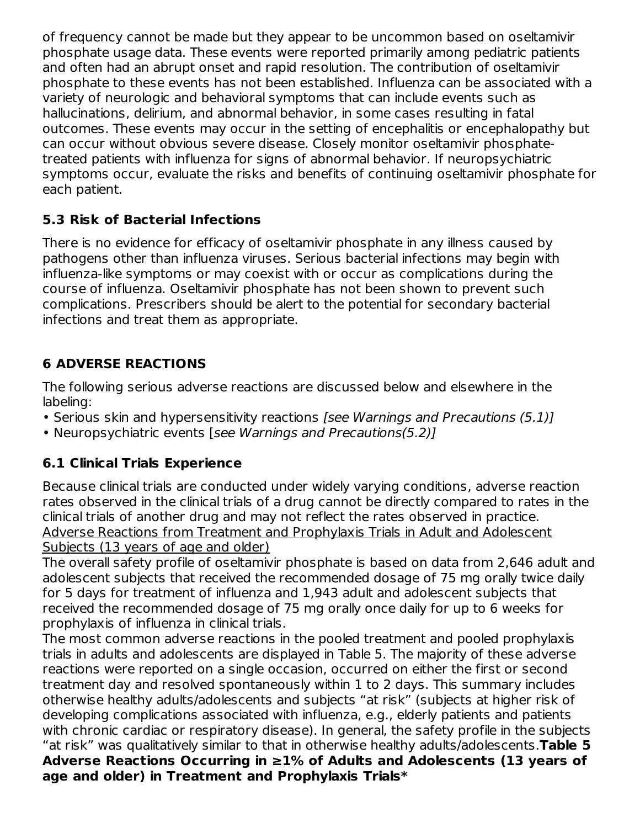of frequency cannot be made but they appear to be uncommon based on oseltamivir phosphate usage data. These events were reported primarily among pediatric patients and often had an abrupt onset and rapid resolution. The contribution of oseltamivir phosphate to these events has not been established. Influenza can be associated with a variety of neurologic and behavioral symptoms that can include events such as hallucinations, delirium, and abnormal behavior, in some cases resulting in fatal outcomes. These events may occur in the setting of encephalitis or encephalopathy but can occur without obvious severe disease. Closely monitor oseltamivir phosphatetreated patients with influenza for signs of abnormal behavior. If neuropsychiatric symptoms occur, evaluate the risks and benefits of continuing oseltamivir phosphate for each patient.

# **5.3 Risk of Bacterial Infections**

There is no evidence for efficacy of oseltamivir phosphate in any illness caused by pathogens other than influenza viruses. Serious bacterial infections may begin with influenza-like symptoms or may coexist with or occur as complications during the course of influenza. Oseltamivir phosphate has not been shown to prevent such complications. Prescribers should be alert to the potential for secondary bacterial infections and treat them as appropriate.

# **6 ADVERSE REACTIONS**

The following serious adverse reactions are discussed below and elsewhere in the labeling:

- Serious skin and hypersensitivity reactions *[see Warnings and Precautions (5.1)]*
- Neuropsychiatric events [see Warnings and Precautions(5.2)]

# **6.1 Clinical Trials Experience**

Because clinical trials are conducted under widely varying conditions, adverse reaction rates observed in the clinical trials of a drug cannot be directly compared to rates in the clinical trials of another drug and may not reflect the rates observed in practice. Adverse Reactions from Treatment and Prophylaxis Trials in Adult and Adolescent Subjects (13 years of age and older)

The overall safety profile of oseltamivir phosphate is based on data from 2,646 adult and adolescent subjects that received the recommended dosage of 75 mg orally twice daily for 5 days for treatment of influenza and 1,943 adult and adolescent subjects that received the recommended dosage of 75 mg orally once daily for up to 6 weeks for prophylaxis of influenza in clinical trials.

The most common adverse reactions in the pooled treatment and pooled prophylaxis trials in adults and adolescents are displayed in Table 5. The majority of these adverse reactions were reported on a single occasion, occurred on either the first or second treatment day and resolved spontaneously within 1 to 2 days. This summary includes otherwise healthy adults/adolescents and subjects "at risk" (subjects at higher risk of developing complications associated with influenza, e.g., elderly patients and patients with chronic cardiac or respiratory disease). In general, the safety profile in the subjects "at risk" was qualitatively similar to that in otherwise healthy adults/adolescents.**Table 5 Adverse Reactions Occurring in ≥1% of Adults and Adolescents (13 years of age and older) in Treatment and Prophylaxis Trials\***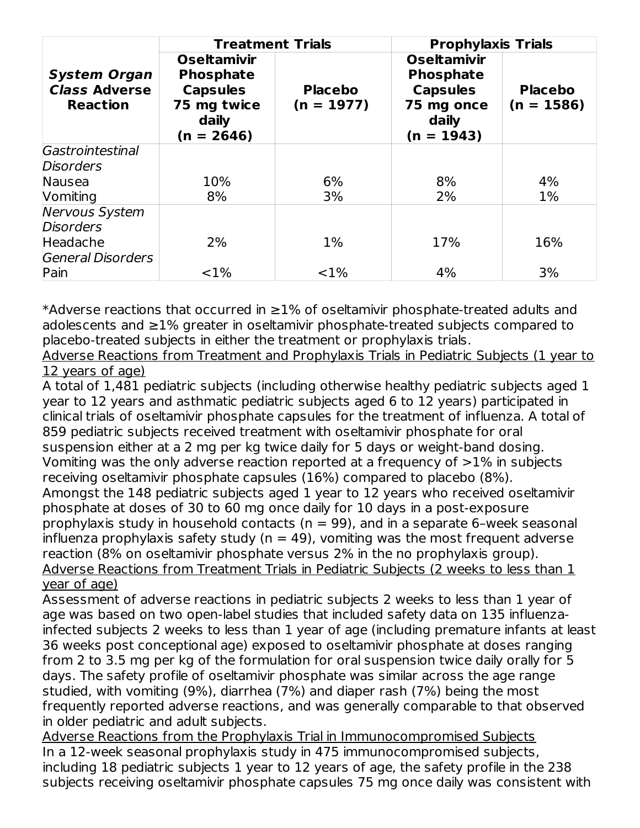|                                                                | <b>Treatment Trials</b>                                                                           |                                | <b>Prophylaxis Trials</b>                                                                        |                                |  |
|----------------------------------------------------------------|---------------------------------------------------------------------------------------------------|--------------------------------|--------------------------------------------------------------------------------------------------|--------------------------------|--|
| <b>System Organ</b><br><b>Class Adverse</b><br><b>Reaction</b> | <b>Oseltamivir</b><br><b>Phosphate</b><br><b>Capsules</b><br>75 mg twice<br>daily<br>$(n = 2646)$ | <b>Placebo</b><br>$(n = 1977)$ | <b>Oseltamivir</b><br><b>Phosphate</b><br><b>Capsules</b><br>75 mg once<br>daily<br>$(n = 1943)$ | <b>Placebo</b><br>$(n = 1586)$ |  |
| Gastrointestinal                                               |                                                                                                   |                                |                                                                                                  |                                |  |
| <b>Disorders</b>                                               |                                                                                                   |                                |                                                                                                  |                                |  |
| Nausea                                                         | 10%                                                                                               | 6%                             | 8%                                                                                               | 4%                             |  |
| Vomiting                                                       | 8%                                                                                                | 3%                             | 2%                                                                                               | 1%                             |  |
| <b>Nervous System</b><br><b>Disorders</b>                      |                                                                                                   |                                |                                                                                                  |                                |  |
| Headache                                                       | 2%                                                                                                | $1\%$                          | 17%                                                                                              | 16%                            |  |
| <b>General Disorders</b>                                       |                                                                                                   |                                |                                                                                                  |                                |  |
| Pain                                                           | $< 1\%$                                                                                           | $< 1\%$                        | 4%                                                                                               | 3%                             |  |

\*Adverse reactions that occurred in ≥1% of oseltamivir phosphate-treated adults and adolescents and ≥1% greater in oseltamivir phosphate-treated subjects compared to placebo-treated subjects in either the treatment or prophylaxis trials.

Adverse Reactions from Treatment and Prophylaxis Trials in Pediatric Subjects (1 year to 12 years of age)

A total of 1,481 pediatric subjects (including otherwise healthy pediatric subjects aged 1 year to 12 years and asthmatic pediatric subjects aged 6 to 12 years) participated in clinical trials of oseltamivir phosphate capsules for the treatment of influenza. A total of 859 pediatric subjects received treatment with oseltamivir phosphate for oral suspension either at a 2 mg per kg twice daily for 5 days or weight-band dosing. Vomiting was the only adverse reaction reported at a frequency of  $>1\%$  in subjects receiving oseltamivir phosphate capsules (16%) compared to placebo (8%). Amongst the 148 pediatric subjects aged 1 year to 12 years who received oseltamivir phosphate at doses of 30 to 60 mg once daily for 10 days in a post-exposure prophylaxis study in household contacts ( $n = 99$ ), and in a separate 6-week seasonal influenza prophylaxis safety study ( $n = 49$ ), vomiting was the most frequent adverse reaction (8% on oseltamivir phosphate versus 2% in the no prophylaxis group). Adverse Reactions from Treatment Trials in Pediatric Subjects (2 weeks to less than 1 year of age)

Assessment of adverse reactions in pediatric subjects 2 weeks to less than 1 year of age was based on two open-label studies that included safety data on 135 influenzainfected subjects 2 weeks to less than 1 year of age (including premature infants at least 36 weeks post conceptional age) exposed to oseltamivir phosphate at doses ranging from 2 to 3.5 mg per kg of the formulation for oral suspension twice daily orally for 5 days. The safety profile of oseltamivir phosphate was similar across the age range studied, with vomiting (9%), diarrhea (7%) and diaper rash (7%) being the most frequently reported adverse reactions, and was generally comparable to that observed in older pediatric and adult subjects.

Adverse Reactions from the Prophylaxis Trial in Immunocompromised Subjects In a 12-week seasonal prophylaxis study in 475 immunocompromised subjects, including 18 pediatric subjects 1 year to 12 years of age, the safety profile in the 238 subjects receiving oseltamivir phosphate capsules 75 mg once daily was consistent with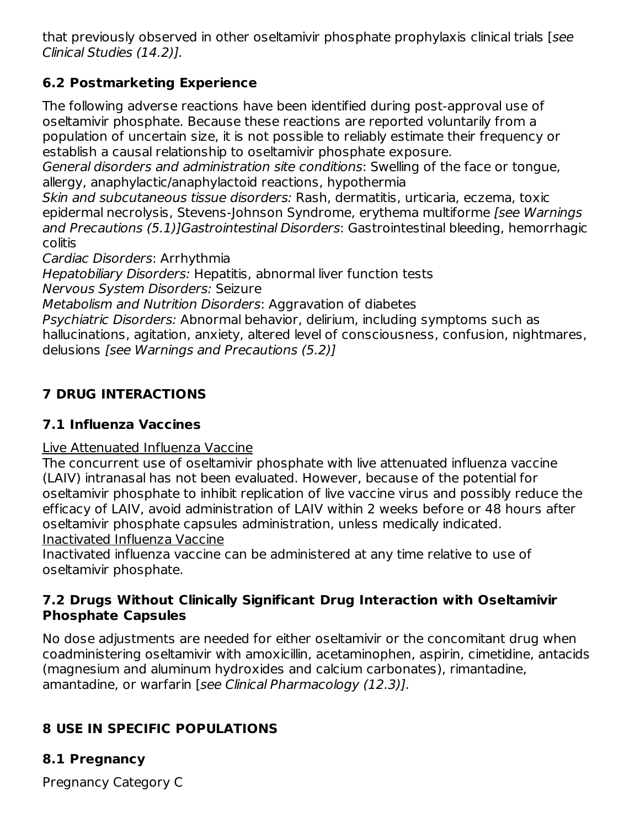that previously observed in other oseltamivir phosphate prophylaxis clinical trials [see Clinical Studies (14.2)].

# **6.2 Postmarketing Experience**

The following adverse reactions have been identified during post-approval use of oseltamivir phosphate. Because these reactions are reported voluntarily from a population of uncertain size, it is not possible to reliably estimate their frequency or establish a causal relationship to oseltamivir phosphate exposure.

General disorders and administration site conditions: Swelling of the face or tongue, allergy, anaphylactic/anaphylactoid reactions, hypothermia

Skin and subcutaneous tissue disorders: Rash, dermatitis, urticaria, eczema, toxic epidermal necrolysis, Stevens-Johnson Syndrome, erythema multiforme *[see Warnings* and Precautions (5.1)]Gastrointestinal Disorders: Gastrointestinal bleeding, hemorrhagic colitis

Cardiac Disorders: Arrhythmia

Hepatobiliary Disorders: Hepatitis, abnormal liver function tests

Nervous System Disorders: Seizure

Metabolism and Nutrition Disorders: Aggravation of diabetes

Psychiatric Disorders: Abnormal behavior, delirium, including symptoms such as hallucinations, agitation, anxiety, altered level of consciousness, confusion, nightmares, delusions [see Warnings and Precautions (5.2)]

# **7 DRUG INTERACTIONS**

# **7.1 Influenza Vaccines**

# Live Attenuated Influenza Vaccine

The concurrent use of oseltamivir phosphate with live attenuated influenza vaccine (LAIV) intranasal has not been evaluated. However, because of the potential for oseltamivir phosphate to inhibit replication of live vaccine virus and possibly reduce the efficacy of LAIV, avoid administration of LAIV within 2 weeks before or 48 hours after oseltamivir phosphate capsules administration, unless medically indicated.

Inactivated Influenza Vaccine

Inactivated influenza vaccine can be administered at any time relative to use of oseltamivir phosphate.

## **7.2 Drugs Without Clinically Significant Drug Interaction with Oseltamivir Phosphate Capsules**

No dose adjustments are needed for either oseltamivir or the concomitant drug when coadministering oseltamivir with amoxicillin, acetaminophen, aspirin, cimetidine, antacids (magnesium and aluminum hydroxides and calcium carbonates), rimantadine, amantadine, or warfarin [see Clinical Pharmacology (12.3)].

# **8 USE IN SPECIFIC POPULATIONS**

# **8.1 Pregnancy**

Pregnancy Category C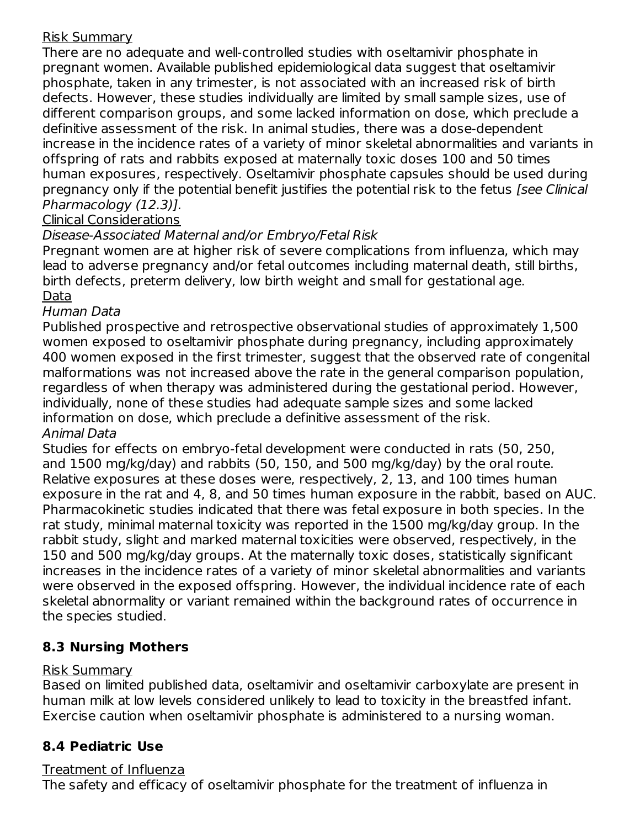## Risk Summary

There are no adequate and well-controlled studies with oseltamivir phosphate in pregnant women. Available published epidemiological data suggest that oseltamivir phosphate, taken in any trimester, is not associated with an increased risk of birth defects. However, these studies individually are limited by small sample sizes, use of different comparison groups, and some lacked information on dose, which preclude a definitive assessment of the risk. In animal studies, there was a dose-dependent increase in the incidence rates of a variety of minor skeletal abnormalities and variants in offspring of rats and rabbits exposed at maternally toxic doses 100 and 50 times human exposures, respectively. Oseltamivir phosphate capsules should be used during pregnancy only if the potential benefit justifies the potential risk to the fetus [see Clinical Pharmacology (12.3)].

### Clinical Considerations

## Disease-Associated Maternal and/or Embryo/Fetal Risk

Pregnant women are at higher risk of severe complications from influenza, which may lead to adverse pregnancy and/or fetal outcomes including maternal death, still births, birth defects, preterm delivery, low birth weight and small for gestational age. Data

#### Human Data

Published prospective and retrospective observational studies of approximately 1,500 women exposed to oseltamivir phosphate during pregnancy, including approximately 400 women exposed in the first trimester, suggest that the observed rate of congenital malformations was not increased above the rate in the general comparison population, regardless of when therapy was administered during the gestational period. However, individually, none of these studies had adequate sample sizes and some lacked information on dose, which preclude a definitive assessment of the risk. Animal Data

Studies for effects on embryo-fetal development were conducted in rats (50, 250, and 1500 mg/kg/day) and rabbits (50, 150, and 500 mg/kg/day) by the oral route. Relative exposures at these doses were, respectively, 2, 13, and 100 times human exposure in the rat and 4, 8, and 50 times human exposure in the rabbit, based on AUC. Pharmacokinetic studies indicated that there was fetal exposure in both species. In the rat study, minimal maternal toxicity was reported in the 1500 mg/kg/day group. In the rabbit study, slight and marked maternal toxicities were observed, respectively, in the 150 and 500 mg/kg/day groups. At the maternally toxic doses, statistically significant increases in the incidence rates of a variety of minor skeletal abnormalities and variants were observed in the exposed offspring. However, the individual incidence rate of each skeletal abnormality or variant remained within the background rates of occurrence in the species studied.

# **8.3 Nursing Mothers**

### Risk Summary

Based on limited published data, oseltamivir and oseltamivir carboxylate are present in human milk at low levels considered unlikely to lead to toxicity in the breastfed infant. Exercise caution when oseltamivir phosphate is administered to a nursing woman.

# **8.4 Pediatric Use**

### Treatment of Influenza

The safety and efficacy of oseltamivir phosphate for the treatment of influenza in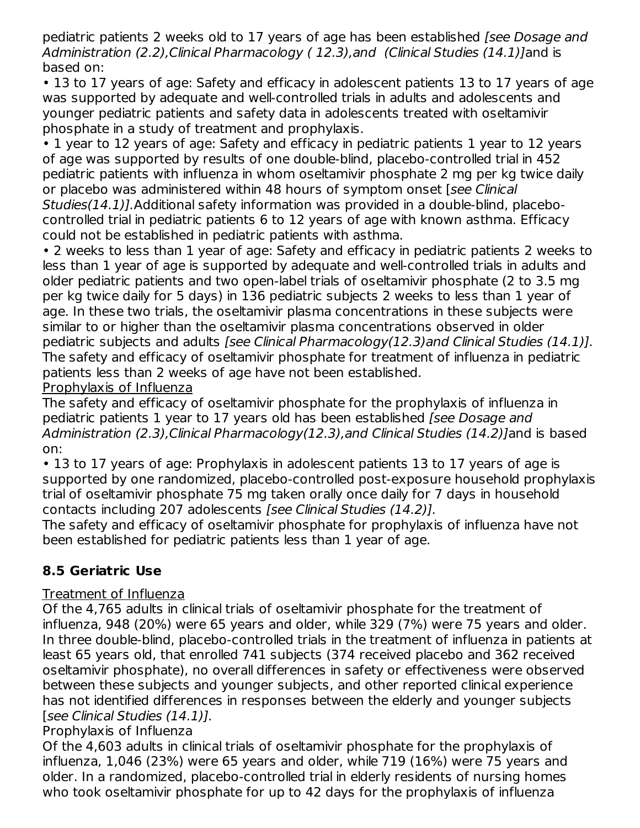pediatric patients 2 weeks old to 17 years of age has been established (see Dosage and Administration (2.2), Clinical Pharmacology (12.3), and (Clinical Studies (14.1)] and is based on:

• 13 to 17 years of age: Safety and efficacy in adolescent patients 13 to 17 years of age was supported by adequate and well-controlled trials in adults and adolescents and younger pediatric patients and safety data in adolescents treated with oseltamivir phosphate in a study of treatment and prophylaxis.

• 1 year to 12 years of age: Safety and efficacy in pediatric patients 1 year to 12 years of age was supported by results of one double-blind, placebo-controlled trial in 452 pediatric patients with influenza in whom oseltamivir phosphate 2 mg per kg twice daily or placebo was administered within 48 hours of symptom onset [see Clinical Studies(14.1)].Additional safety information was provided in a double-blind, placebocontrolled trial in pediatric patients 6 to 12 years of age with known asthma. Efficacy could not be established in pediatric patients with asthma.

• 2 weeks to less than 1 year of age: Safety and efficacy in pediatric patients 2 weeks to less than 1 year of age is supported by adequate and well-controlled trials in adults and older pediatric patients and two open-label trials of oseltamivir phosphate (2 to 3.5 mg per kg twice daily for 5 days) in 136 pediatric subjects 2 weeks to less than 1 year of age. In these two trials, the oseltamivir plasma concentrations in these subjects were similar to or higher than the oseltamivir plasma concentrations observed in older pediatric subjects and adults [see Clinical Pharmacology(12.3)and Clinical Studies (14.1)]. The safety and efficacy of oseltamivir phosphate for treatment of influenza in pediatric patients less than 2 weeks of age have not been established.

Prophylaxis of Influenza

The safety and efficacy of oseltamivir phosphate for the prophylaxis of influenza in pediatric patients 1 year to 17 years old has been established [see Dosage and Administration (2.3),Clinical Pharmacology(12.3),and Clinical Studies (14.2)]and is based on:

• 13 to 17 years of age: Prophylaxis in adolescent patients 13 to 17 years of age is supported by one randomized, placebo-controlled post-exposure household prophylaxis trial of oseltamivir phosphate 75 mg taken orally once daily for 7 days in household contacts including 207 adolescents [see Clinical Studies (14.2)].

The safety and efficacy of oseltamivir phosphate for prophylaxis of influenza have not been established for pediatric patients less than 1 year of age.

# **8.5 Geriatric Use**

# Treatment of Influenza

Of the 4,765 adults in clinical trials of oseltamivir phosphate for the treatment of influenza, 948 (20%) were 65 years and older, while 329 (7%) were 75 years and older. In three double-blind, placebo-controlled trials in the treatment of influenza in patients at least 65 years old, that enrolled 741 subjects (374 received placebo and 362 received oseltamivir phosphate), no overall differences in safety or effectiveness were observed between these subjects and younger subjects, and other reported clinical experience has not identified differences in responses between the elderly and younger subjects [see Clinical Studies (14.1)].

# Prophylaxis of Influenza

Of the 4,603 adults in clinical trials of oseltamivir phosphate for the prophylaxis of influenza, 1,046 (23%) were 65 years and older, while 719 (16%) were 75 years and older. In a randomized, placebo-controlled trial in elderly residents of nursing homes who took oseltamivir phosphate for up to 42 days for the prophylaxis of influenza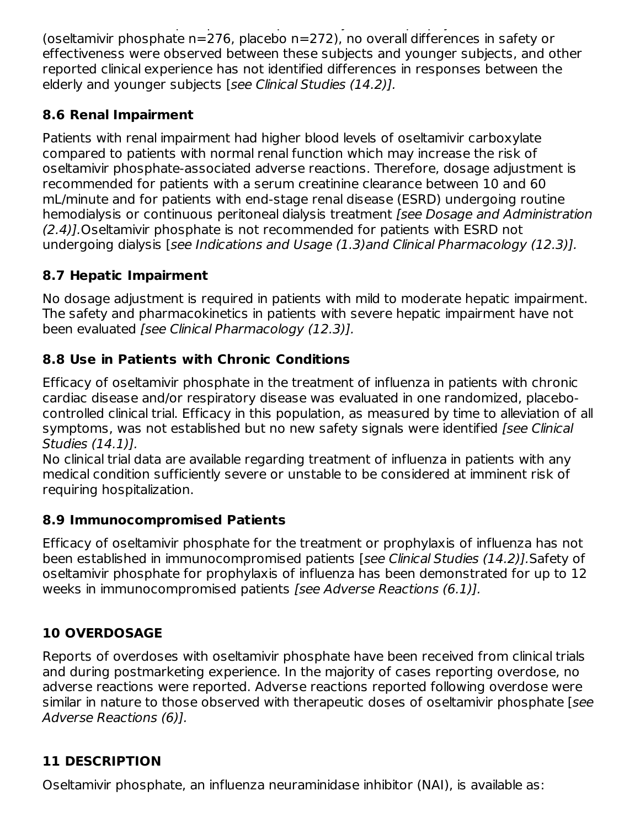who took oseltamining the phosphate for up to 42 days for the prophylaxis of influenza of influenza of influenza (oseltamivir phosphate n=276, placebo n=272), no overall differences in safety or effectiveness were observed between these subjects and younger subjects, and other reported clinical experience has not identified differences in responses between the elderly and younger subjects [see Clinical Studies (14.2)].

# **8.6 Renal Impairment**

Patients with renal impairment had higher blood levels of oseltamivir carboxylate compared to patients with normal renal function which may increase the risk of oseltamivir phosphate-associated adverse reactions. Therefore, dosage adjustment is recommended for patients with a serum creatinine clearance between 10 and 60 mL/minute and for patients with end-stage renal disease (ESRD) undergoing routine hemodialysis or continuous peritoneal dialysis treatment [see Dosage and Administration (2.4)].Oseltamivir phosphate is not recommended for patients with ESRD not undergoing dialysis [see Indications and Usage (1.3)and Clinical Pharmacology (12.3)].

# **8.7 Hepatic Impairment**

No dosage adjustment is required in patients with mild to moderate hepatic impairment. The safety and pharmacokinetics in patients with severe hepatic impairment have not been evaluated [see Clinical Pharmacology (12.3)].

# **8.8 Use in Patients with Chronic Conditions**

Efficacy of oseltamivir phosphate in the treatment of influenza in patients with chronic cardiac disease and/or respiratory disease was evaluated in one randomized, placebocontrolled clinical trial. Efficacy in this population, as measured by time to alleviation of all symptoms, was not established but no new safety signals were identified [see Clinical Studies (14.1)].

No clinical trial data are available regarding treatment of influenza in patients with any medical condition sufficiently severe or unstable to be considered at imminent risk of requiring hospitalization.

# **8.9 Immunocompromised Patients**

Efficacy of oseltamivir phosphate for the treatment or prophylaxis of influenza has not been established in immunocompromised patients [see Clinical Studies (14.2)].Safety of oseltamivir phosphate for prophylaxis of influenza has been demonstrated for up to 12 weeks in immunocompromised patients [see Adverse Reactions (6.1)].

# **10 OVERDOSAGE**

Reports of overdoses with oseltamivir phosphate have been received from clinical trials and during postmarketing experience. In the majority of cases reporting overdose, no adverse reactions were reported. Adverse reactions reported following overdose were similar in nature to those observed with therapeutic doses of oseltamivir phosphate [see Adverse Reactions (6)].

# **11 DESCRIPTION**

Oseltamivir phosphate, an influenza neuraminidase inhibitor (NAI), is available as: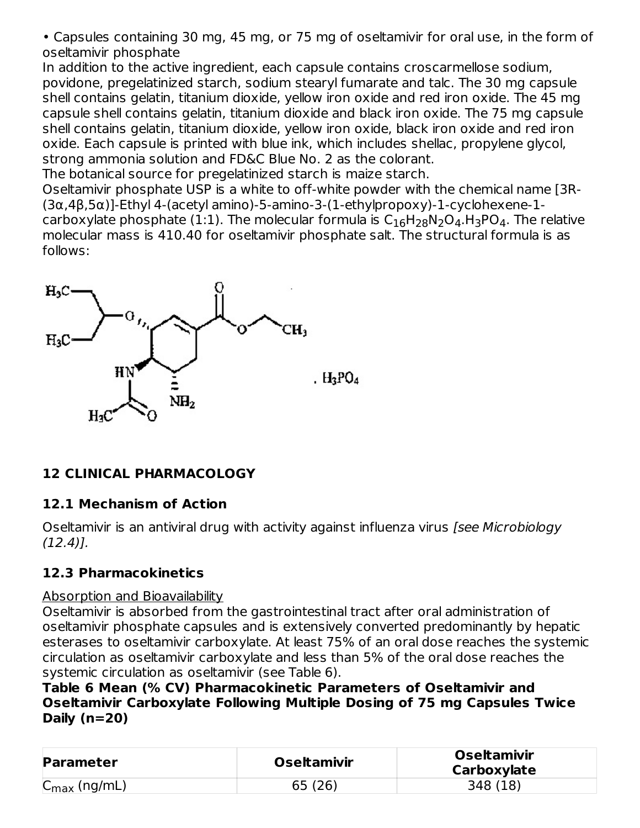• Capsules containing 30 mg, 45 mg, or 75 mg of oseltamivir for oral use, in the form of oseltamivir phosphate

In addition to the active ingredient, each capsule contains croscarmellose sodium, povidone, pregelatinized starch, sodium stearyl fumarate and talc. The 30 mg capsule shell contains gelatin, titanium dioxide, yellow iron oxide and red iron oxide. The 45 mg capsule shell contains gelatin, titanium dioxide and black iron oxide. The 75 mg capsule shell contains gelatin, titanium dioxide, yellow iron oxide, black iron oxide and red iron oxide. Each capsule is printed with blue ink, which includes shellac, propylene glycol, strong ammonia solution and FD&C Blue No. 2 as the colorant.

The botanical source for pregelatinized starch is maize starch.

Oseltamivir phosphate USP is a white to off-white powder with the chemical name [3R- (3α,4β,5α)]-Ethyl 4-(acetyl amino)-5-amino-3-(1-ethylpropoxy)-1-cyclohexene-1 carboxylate phosphate (1:1). The molecular formula is  $\mathsf{C}_{16}\mathsf{H}_{28}\mathsf{N}_{2}\mathsf{O}_{4}$ .  $\mathsf{H}_{3}\mathsf{PO}_{4}$ . The relative molecular mass is 410.40 for oseltamivir phosphate salt. The structural formula is as follows:



# **12 CLINICAL PHARMACOLOGY**

### **12.1 Mechanism of Action**

Oseltamivir is an antiviral drug with activity against influenza virus [see Microbiology  $(12.4)$ .

# **12.3 Pharmacokinetics**

### Absorption and Bioavailability

Oseltamivir is absorbed from the gastrointestinal tract after oral administration of oseltamivir phosphate capsules and is extensively converted predominantly by hepatic esterases to oseltamivir carboxylate. At least 75% of an oral dose reaches the systemic circulation as oseltamivir carboxylate and less than 5% of the oral dose reaches the systemic circulation as oseltamivir (see Table 6).

**Table 6 Mean (% CV) Pharmacokinetic Parameters of Oseltamivir and Oseltamivir Carboxylate Following Multiple Dosing of 75 mg Capsules Twice Daily (n=20)**

| <b>Parameter</b>                              | <b>Oseltamivir</b> | <b>Oseltamivir</b><br>Carboxylate |
|-----------------------------------------------|--------------------|-----------------------------------|
| $\sim$<br>$\mathsf{C}_{\mathsf{max}}$ (ng/mL) | 65(26)             | 348 (18)                          |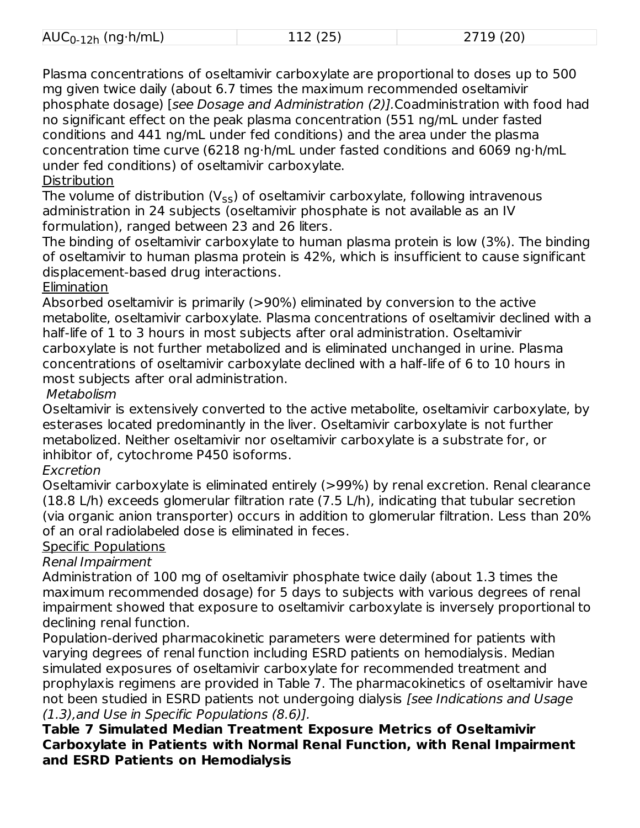| $\mathsf{AUC}_{0\text{-}12\mathsf{h}}$<br>$(nq \cdot h/mL)$<br>- 11 A J J J | 12.0<br>_____<br>--- | $\sqrt{2710}$ (20)<br><u>_ , _ ,</u> |
|-----------------------------------------------------------------------------|----------------------|--------------------------------------|

Plasma concentrations of oseltamivir carboxylate are proportional to doses up to 500 mg given twice daily (about 6.7 times the maximum recommended oseltamivir phosphate dosage) [see Dosage and Administration (2)].Coadministration with food had no significant effect on the peak plasma concentration (551 ng/mL under fasted conditions and 441 ng/mL under fed conditions) and the area under the plasma concentration time curve (6218 ng·h/mL under fasted conditions and 6069 ng·h/mL under fed conditions) of oseltamivir carboxylate.

#### **Distribution**

The volume of distribution (V<sub>ss</sub>) of oseltamivir carboxylate, following intravenous administration in 24 subjects (oseltamivir phosphate is not available as an IV formulation), ranged between 23 and 26 liters.

The binding of oseltamivir carboxylate to human plasma protein is low (3%). The binding of oseltamivir to human plasma protein is 42%, which is insufficient to cause significant displacement-based drug interactions.

## **Elimination**

Absorbed oseltamivir is primarily (>90%) eliminated by conversion to the active metabolite, oseltamivir carboxylate. Plasma concentrations of oseltamivir declined with a half-life of 1 to 3 hours in most subjects after oral administration. Oseltamivir carboxylate is not further metabolized and is eliminated unchanged in urine. Plasma concentrations of oseltamivir carboxylate declined with a half-life of 6 to 10 hours in most subjects after oral administration.

# Metabolism

Oseltamivir is extensively converted to the active metabolite, oseltamivir carboxylate, by esterases located predominantly in the liver. Oseltamivir carboxylate is not further metabolized. Neither oseltamivir nor oseltamivir carboxylate is a substrate for, or inhibitor of, cytochrome P450 isoforms.

# Excretion

Oseltamivir carboxylate is eliminated entirely (>99%) by renal excretion. Renal clearance (18.8 L/h) exceeds glomerular filtration rate (7.5 L/h), indicating that tubular secretion (via organic anion transporter) occurs in addition to glomerular filtration. Less than 20% of an oral radiolabeled dose is eliminated in feces.

# Specific Populations

### Renal Impairment

Administration of 100 mg of oseltamivir phosphate twice daily (about 1.3 times the maximum recommended dosage) for 5 days to subjects with various degrees of renal impairment showed that exposure to oseltamivir carboxylate is inversely proportional to declining renal function.

Population-derived pharmacokinetic parameters were determined for patients with varying degrees of renal function including ESRD patients on hemodialysis. Median simulated exposures of oseltamivir carboxylate for recommended treatment and prophylaxis regimens are provided in Table 7. The pharmacokinetics of oseltamivir have not been studied in ESRD patients not undergoing dialysis [see Indications and Usage (1.3),and Use in Specific Populations (8.6)].

### **Table 7 Simulated Median Treatment Exposure Metrics of Oseltamivir Carboxylate in Patients with Normal Renal Function, with Renal Impairment and ESRD Patients on Hemodialysis**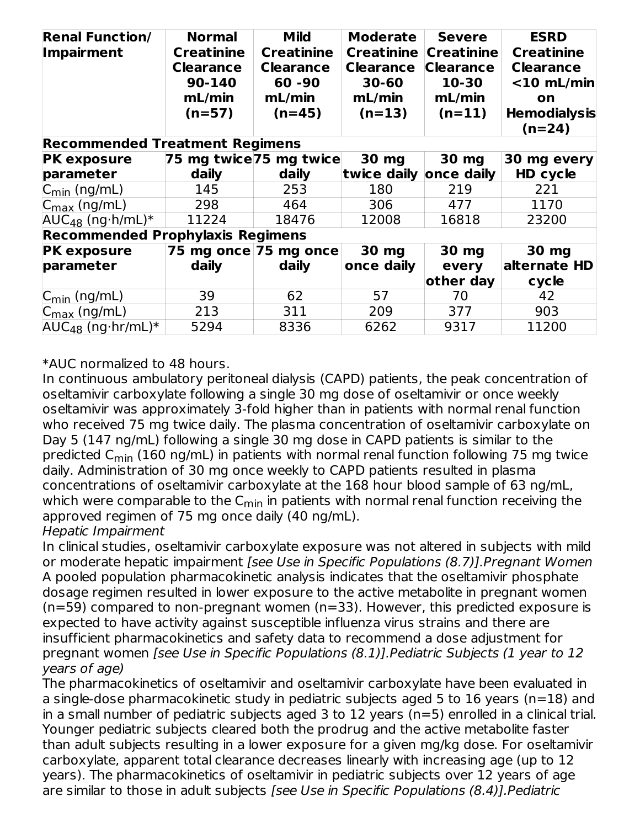| <b>Renal Function/</b><br><b>Impairment</b><br><b>Recommended Treatment Regimens</b> | <b>Normal</b><br><b>Creatinine</b><br><b>Clearance</b><br>90-140<br>mL/min<br>$(n=57)$ | <b>Mild</b><br><b>Creatinine</b><br><b>Clearance</b><br>$60 - 90$<br>mL/min<br>$(n=45)$ | <b>Moderate</b><br><b>Creatinine</b><br><b>Clearance</b><br>30-60<br>mL/min<br>$(n=13)$ | <b>Severe</b><br><b>Creatinine</b><br><b>Clearance</b><br>10-30<br>mL/min<br>$(n=11)$ | <b>ESRD</b><br><b>Creatinine</b><br><b>Clearance</b><br>$<$ 10 mL/min<br>on<br><b>Hemodialysis</b><br>$(n=24)$ |
|--------------------------------------------------------------------------------------|----------------------------------------------------------------------------------------|-----------------------------------------------------------------------------------------|-----------------------------------------------------------------------------------------|---------------------------------------------------------------------------------------|----------------------------------------------------------------------------------------------------------------|
| <b>PK exposure</b>                                                                   | 75 mg twice 75 mg twice                                                                |                                                                                         | 30 mg                                                                                   | 30 mg                                                                                 | 30 mg every                                                                                                    |
| parameter                                                                            | daily                                                                                  | daily                                                                                   | twice daily                                                                             | once daily                                                                            | HD cycle                                                                                                       |
| $C_{\text{min}}$ (ng/mL)                                                             | 145                                                                                    | 253                                                                                     | 180                                                                                     | 219                                                                                   | 221                                                                                                            |
| $C_{\text{max}}$ (ng/mL)                                                             | 298                                                                                    | 464                                                                                     | 306                                                                                     | 477                                                                                   | 1170                                                                                                           |
| $AUC_{48}$ (ng $h/mL$ )*                                                             | 11224                                                                                  | 18476                                                                                   | 12008                                                                                   | 16818                                                                                 | 23200                                                                                                          |
| <b>Recommended Prophylaxis Regimens</b>                                              |                                                                                        |                                                                                         |                                                                                         |                                                                                       |                                                                                                                |
| <b>PK exposure</b>                                                                   |                                                                                        | 75 mg once 75 mg once                                                                   | 30 mg                                                                                   | 30 mg                                                                                 | 30 mg                                                                                                          |
| parameter                                                                            | daily                                                                                  | daily                                                                                   | once daily                                                                              | every                                                                                 | alternate HD                                                                                                   |
|                                                                                      |                                                                                        |                                                                                         |                                                                                         | other day                                                                             | cycle                                                                                                          |
| $C_{\text{min}}$ (ng/mL)                                                             | 39                                                                                     | 62                                                                                      | 57                                                                                      | 70                                                                                    | 42                                                                                                             |
| $C_{\text{max}}$ (ng/mL)                                                             | 213                                                                                    | 311                                                                                     | 209                                                                                     | 377                                                                                   | 903                                                                                                            |
| $AUC_{48}$ (ng hr/mL)*                                                               | 5294                                                                                   | 8336                                                                                    | 6262                                                                                    | 9317                                                                                  | 11200                                                                                                          |

\*AUC normalized to 48 hours.

In continuous ambulatory peritoneal dialysis (CAPD) patients, the peak concentration of oseltamivir carboxylate following a single 30 mg dose of oseltamivir or once weekly oseltamivir was approximately 3-fold higher than in patients with normal renal function who received 75 mg twice daily. The plasma concentration of oseltamivir carboxylate on Day 5 (147 ng/mL) following a single 30 mg dose in CAPD patients is similar to the predicted C<sub>min</sub> (160 ng/mL) in patients with normal renal function following 75 mg twice daily. Administration of 30 mg once weekly to CAPD patients resulted in plasma concentrations of oseltamivir carboxylate at the 168 hour blood sample of 63 ng/mL, which were comparable to the C<sub>min</sub> in patients with normal renal function receiving the approved regimen of 75 mg once daily (40 ng/mL).

Hepatic Impairment

In clinical studies, oseltamivir carboxylate exposure was not altered in subjects with mild or moderate hepatic impairment [see Use in Specific Populations (8.7)].Pregnant Women A pooled population pharmacokinetic analysis indicates that the oseltamivir phosphate dosage regimen resulted in lower exposure to the active metabolite in pregnant women (n=59) compared to non-pregnant women (n=33). However, this predicted exposure is expected to have activity against susceptible influenza virus strains and there are insufficient pharmacokinetics and safety data to recommend a dose adjustment for pregnant women [see Use in Specific Populations (8.1)].Pediatric Subjects (1 year to 12 years of age)

The pharmacokinetics of oseltamivir and oseltamivir carboxylate have been evaluated in a single-dose pharmacokinetic study in pediatric subjects aged 5 to 16 years (n=18) and in a small number of pediatric subjects aged 3 to 12 years (n=5) enrolled in a clinical trial. Younger pediatric subjects cleared both the prodrug and the active metabolite faster than adult subjects resulting in a lower exposure for a given mg/kg dose. For oseltamivir carboxylate, apparent total clearance decreases linearly with increasing age (up to 12 years). The pharmacokinetics of oseltamivir in pediatric subjects over 12 years of age are similar to those in adult subjects [see Use in Specific Populations (8.4)].Pediatric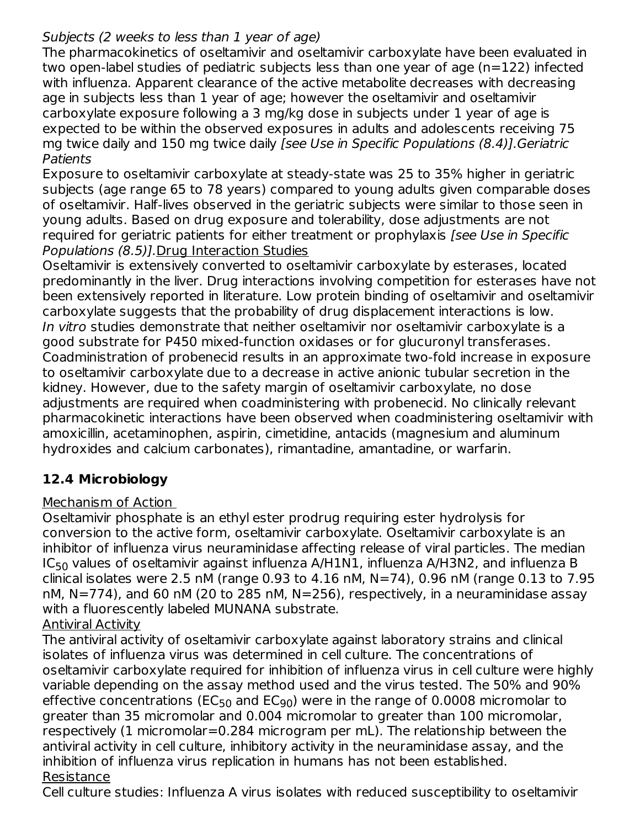## Subjects (2 weeks to less than 1 year of age)

The pharmacokinetics of oseltamivir and oseltamivir carboxylate have been evaluated in two open-label studies of pediatric subjects less than one year of age (n=122) infected with influenza. Apparent clearance of the active metabolite decreases with decreasing age in subjects less than 1 year of age; however the oseltamivir and oseltamivir carboxylate exposure following a 3 mg/kg dose in subjects under 1 year of age is expected to be within the observed exposures in adults and adolescents receiving 75 mg twice daily and 150 mg twice daily [see Use in Specific Populations (8.4)].Geriatric Patients

Exposure to oseltamivir carboxylate at steady-state was 25 to 35% higher in geriatric subjects (age range 65 to 78 years) compared to young adults given comparable doses of oseltamivir. Half-lives observed in the geriatric subjects were similar to those seen in young adults. Based on drug exposure and tolerability, dose adjustments are not required for geriatric patients for either treatment or prophylaxis [see Use in Specific Populations (8.5)].Drug Interaction Studies

Oseltamivir is extensively converted to oseltamivir carboxylate by esterases, located predominantly in the liver. Drug interactions involving competition for esterases have not been extensively reported in literature. Low protein binding of oseltamivir and oseltamivir carboxylate suggests that the probability of drug displacement interactions is low. In vitro studies demonstrate that neither oseltamivir nor oseltamivir carboxylate is a good substrate for P450 mixed-function oxidases or for glucuronyl transferases. Coadministration of probenecid results in an approximate two-fold increase in exposure to oseltamivir carboxylate due to a decrease in active anionic tubular secretion in the kidney. However, due to the safety margin of oseltamivir carboxylate, no dose adjustments are required when coadministering with probenecid. No clinically relevant pharmacokinetic interactions have been observed when coadministering oseltamivir with amoxicillin, acetaminophen, aspirin, cimetidine, antacids (magnesium and aluminum hydroxides and calcium carbonates), rimantadine, amantadine, or warfarin.

# **12.4 Microbiology**

### Mechanism of Action

Oseltamivir phosphate is an ethyl ester prodrug requiring ester hydrolysis for conversion to the active form, oseltamivir carboxylate. Oseltamivir carboxylate is an inhibitor of influenza virus neuraminidase affecting release of viral particles. The median IC $_{50}$  values of oseltamivir against influenza A/H $1$ N $1$ , influenza A/H $3$ N $2$ , and influenza B clinical isolates were 2.5 nM (range 0.93 to 4.16 nM,  $N=74$ ), 0.96 nM (range 0.13 to 7.95 nM, N=774), and 60 nM (20 to 285 nM, N=256), respectively, in a neuraminidase assay with a fluorescently labeled MUNANA substrate. Antiviral Activity

The antiviral activity of oseltamivir carboxylate against laboratory strains and clinical isolates of influenza virus was determined in cell culture. The concentrations of oseltamivir carboxylate required for inhibition of influenza virus in cell culture were highly variable depending on the assay method used and the virus tested. The 50% and 90% effective concentrations (EC<sub>50</sub> and EC<sub>90</sub>) were in the range of 0.0008 micromolar to greater than 35 micromolar and 0.004 micromolar to greater than 100 micromolar, respectively (1 micromolar=0.284 microgram per mL). The relationship between the antiviral activity in cell culture, inhibitory activity in the neuraminidase assay, and the inhibition of influenza virus replication in humans has not been established. Resistance

Cell culture studies: Influenza A virus isolates with reduced susceptibility to oseltamivir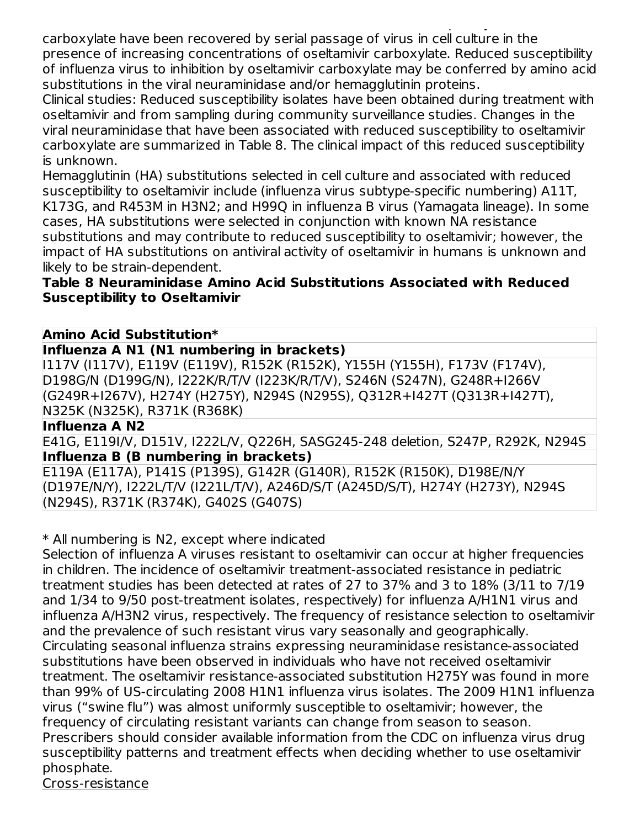Cell culture studies: Influenza A virus isolates with reduced susceptibility to oseltamivir carboxylate have been recovered by serial passage of virus in cell culture in the presence of increasing concentrations of oseltamivir carboxylate. Reduced susceptibility of influenza virus to inhibition by oseltamivir carboxylate may be conferred by amino acid substitutions in the viral neuraminidase and/or hemagglutinin proteins.

Clinical studies: Reduced susceptibility isolates have been obtained during treatment with oseltamivir and from sampling during community surveillance studies. Changes in the viral neuraminidase that have been associated with reduced susceptibility to oseltamivir carboxylate are summarized in Table 8. The clinical impact of this reduced susceptibility is unknown.

Hemagglutinin (HA) substitutions selected in cell culture and associated with reduced susceptibility to oseltamivir include (influenza virus subtype-specific numbering) A11T, K173G, and R453M in H3N2; and H99Q in influenza B virus (Yamagata lineage). In some cases, HA substitutions were selected in conjunction with known NA resistance substitutions and may contribute to reduced susceptibility to oseltamivir; however, the impact of HA substitutions on antiviral activity of oseltamivir in humans is unknown and likely to be strain-dependent.

### **Table 8 Neuraminidase Amino Acid Substitutions Associated with Reduced Susceptibility to Oseltamivir**

# **Amino Acid Substitution\***

### **Influenza A N1 (N1 numbering in brackets)**

I117V (I117V), E119V (E119V), R152K (R152K), Y155H (Y155H), F173V (F174V), D198G/N (D199G/N), I222K/R/T/V (I223K/R/T/V), S246N (S247N), G248R+I266V (G249R+I267V), H274Y (H275Y), N294S (N295S), Q312R+I427T (Q313R+I427T), N325K (N325K), R371K (R368K)

### **Influenza A N2**

E41G, E119I/V, D151V, I222L/V, Q226H, SASG245-248 deletion, S247P, R292K, N294S **Influenza B (B numbering in brackets)**

E119A (E117A), P141S (P139S), G142R (G140R), R152K (R150K), D198E/N/Y (D197E/N/Y), I222L/T/V (I221L/T/V), A246D/S/T (A245D/S/T), H274Y (H273Y), N294S (N294S), R371K (R374K), G402S (G407S)

\* All numbering is N2, except where indicated

Selection of influenza A viruses resistant to oseltamivir can occur at higher frequencies in children. The incidence of oseltamivir treatment-associated resistance in pediatric treatment studies has been detected at rates of 27 to 37% and 3 to 18% (3/11 to 7/19 and 1/34 to 9/50 post-treatment isolates, respectively) for influenza A/H1N1 virus and influenza A/H3N2 virus, respectively. The frequency of resistance selection to oseltamivir and the prevalence of such resistant virus vary seasonally and geographically. Circulating seasonal influenza strains expressing neuraminidase resistance-associated substitutions have been observed in individuals who have not received oseltamivir treatment. The oseltamivir resistance-associated substitution H275Y was found in more than 99% of US-circulating 2008 H1N1 influenza virus isolates. The 2009 H1N1 influenza virus ("swine flu") was almost uniformly susceptible to oseltamivir; however, the frequency of circulating resistant variants can change from season to season. Prescribers should consider available information from the CDC on influenza virus drug susceptibility patterns and treatment effects when deciding whether to use oseltamivir phosphate.

Cross-resistance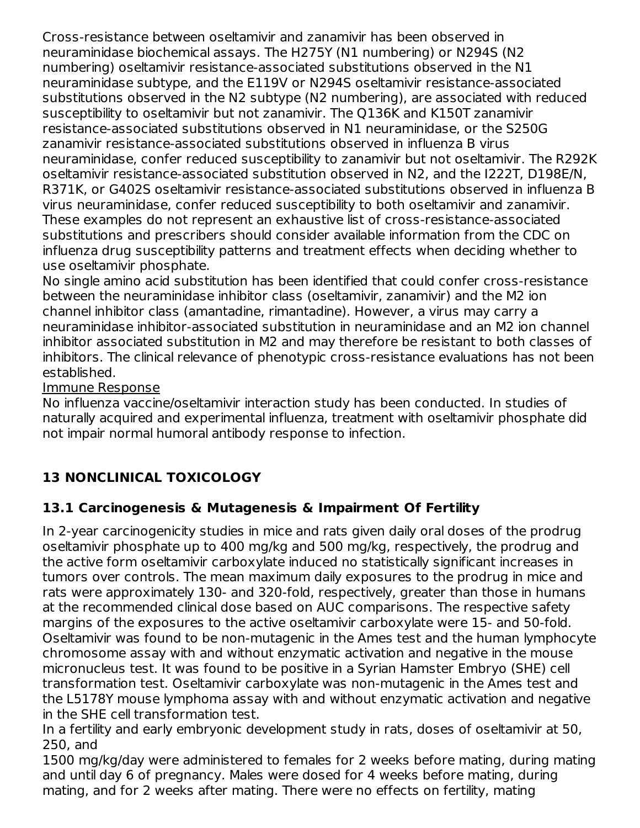Cross-resistance between oseltamivir and zanamivir has been observed in neuraminidase biochemical assays. The H275Y (N1 numbering) or N294S (N2 numbering) oseltamivir resistance-associated substitutions observed in the N1 neuraminidase subtype, and the E119V or N294S oseltamivir resistance-associated substitutions observed in the N2 subtype (N2 numbering), are associated with reduced susceptibility to oseltamivir but not zanamivir. The Q136K and K150T zanamivir resistance-associated substitutions observed in N1 neuraminidase, or the S250G zanamivir resistance-associated substitutions observed in influenza B virus neuraminidase, confer reduced susceptibility to zanamivir but not oseltamivir. The R292K oseltamivir resistance-associated substitution observed in N2, and the I222T, D198E/N, R371K, or G402S oseltamivir resistance-associated substitutions observed in influenza B virus neuraminidase, confer reduced susceptibility to both oseltamivir and zanamivir. These examples do not represent an exhaustive list of cross-resistance-associated substitutions and prescribers should consider available information from the CDC on influenza drug susceptibility patterns and treatment effects when deciding whether to use oseltamivir phosphate.

No single amino acid substitution has been identified that could confer cross-resistance between the neuraminidase inhibitor class (oseltamivir, zanamivir) and the M2 ion channel inhibitor class (amantadine, rimantadine). However, a virus may carry a neuraminidase inhibitor-associated substitution in neuraminidase and an M2 ion channel inhibitor associated substitution in M2 and may therefore be resistant to both classes of inhibitors. The clinical relevance of phenotypic cross-resistance evaluations has not been established.

## Immune Response

No influenza vaccine/oseltamivir interaction study has been conducted. In studies of naturally acquired and experimental influenza, treatment with oseltamivir phosphate did not impair normal humoral antibody response to infection.

# **13 NONCLINICAL TOXICOLOGY**

# **13.1 Carcinogenesis & Mutagenesis & Impairment Of Fertility**

In 2-year carcinogenicity studies in mice and rats given daily oral doses of the prodrug oseltamivir phosphate up to 400 mg/kg and 500 mg/kg, respectively, the prodrug and the active form oseltamivir carboxylate induced no statistically significant increases in tumors over controls. The mean maximum daily exposures to the prodrug in mice and rats were approximately 130- and 320-fold, respectively, greater than those in humans at the recommended clinical dose based on AUC comparisons. The respective safety margins of the exposures to the active oseltamivir carboxylate were 15- and 50-fold. Oseltamivir was found to be non-mutagenic in the Ames test and the human lymphocyte chromosome assay with and without enzymatic activation and negative in the mouse micronucleus test. It was found to be positive in a Syrian Hamster Embryo (SHE) cell transformation test. Oseltamivir carboxylate was non-mutagenic in the Ames test and the L5178Y mouse lymphoma assay with and without enzymatic activation and negative in the SHE cell transformation test.

In a fertility and early embryonic development study in rats, doses of oseltamivir at 50, 250, and

1500 mg/kg/day were administered to females for 2 weeks before mating, during mating and until day 6 of pregnancy. Males were dosed for 4 weeks before mating, during mating, and for 2 weeks after mating. There were no effects on fertility, mating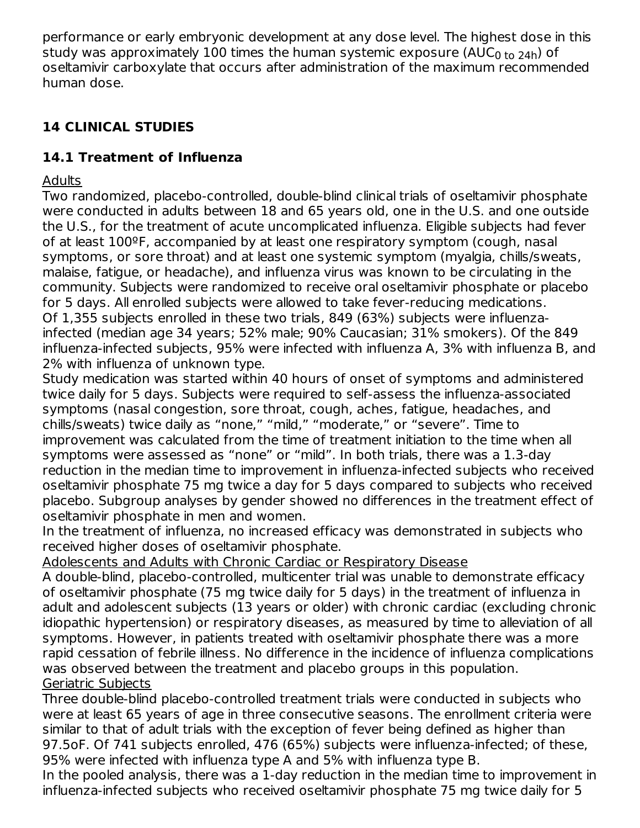performance or early embryonic development at any dose level. The highest dose in this study was approximately 100 times the human systemic exposure (AUC $_{\rm 0 \ to \ 24h}$ ) of oseltamivir carboxylate that occurs after administration of the maximum recommended human dose.

# **14 CLINICAL STUDIES**

# **14.1 Treatment of Influenza**

Adults

Two randomized, placebo-controlled, double-blind clinical trials of oseltamivir phosphate were conducted in adults between 18 and 65 years old, one in the U.S. and one outside the U.S., for the treatment of acute uncomplicated influenza. Eligible subjects had fever of at least 100ºF, accompanied by at least one respiratory symptom (cough, nasal symptoms, or sore throat) and at least one systemic symptom (myalgia, chills/sweats, malaise, fatigue, or headache), and influenza virus was known to be circulating in the community. Subjects were randomized to receive oral oseltamivir phosphate or placebo for 5 days. All enrolled subjects were allowed to take fever-reducing medications. Of 1,355 subjects enrolled in these two trials, 849 (63%) subjects were influenzainfected (median age 34 years; 52% male; 90% Caucasian; 31% smokers). Of the 849 influenza-infected subjects, 95% were infected with influenza A, 3% with influenza B, and 2% with influenza of unknown type.

Study medication was started within 40 hours of onset of symptoms and administered twice daily for 5 days. Subjects were required to self-assess the influenza-associated symptoms (nasal congestion, sore throat, cough, aches, fatigue, headaches, and chills/sweats) twice daily as "none," "mild," "moderate," or "severe". Time to improvement was calculated from the time of treatment initiation to the time when all symptoms were assessed as "none" or "mild". In both trials, there was a 1.3-day reduction in the median time to improvement in influenza-infected subjects who received oseltamivir phosphate 75 mg twice a day for 5 days compared to subjects who received placebo. Subgroup analyses by gender showed no differences in the treatment effect of oseltamivir phosphate in men and women.

In the treatment of influenza, no increased efficacy was demonstrated in subjects who received higher doses of oseltamivir phosphate.

Adolescents and Adults with Chronic Cardiac or Respiratory Disease

A double-blind, placebo-controlled, multicenter trial was unable to demonstrate efficacy of oseltamivir phosphate (75 mg twice daily for 5 days) in the treatment of influenza in adult and adolescent subjects (13 years or older) with chronic cardiac (excluding chronic idiopathic hypertension) or respiratory diseases, as measured by time to alleviation of all symptoms. However, in patients treated with oseltamivir phosphate there was a more rapid cessation of febrile illness. No difference in the incidence of influenza complications was observed between the treatment and placebo groups in this population. Geriatric Subjects

Three double-blind placebo-controlled treatment trials were conducted in subjects who were at least 65 years of age in three consecutive seasons. The enrollment criteria were similar to that of adult trials with the exception of fever being defined as higher than 97.5oF. Of 741 subjects enrolled, 476 (65%) subjects were influenza-infected; of these, 95% were infected with influenza type A and 5% with influenza type B.

In the pooled analysis, there was a 1-day reduction in the median time to improvement in influenza-infected subjects who received oseltamivir phosphate 75 mg twice daily for 5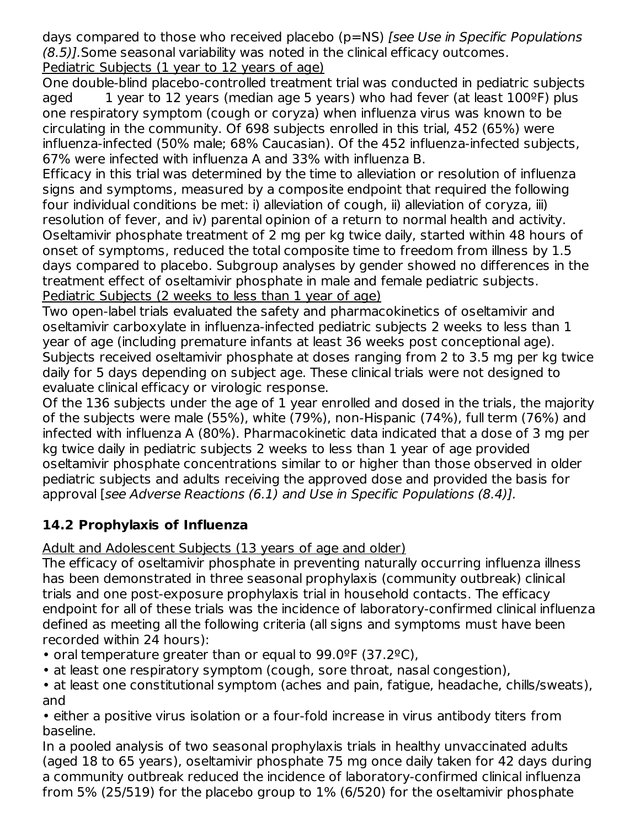days compared to those who received placebo (p=NS) [see Use in Specific Populations (8.5)].Some seasonal variability was noted in the clinical efficacy outcomes. Pediatric Subjects (1 year to 12 years of age)

One double-blind placebo-controlled treatment trial was conducted in pediatric subjects aged 1 year to 12 years (median age 5 years) who had fever (at least  $100^{\circ}$ F) plus one respiratory symptom (cough or coryza) when influenza virus was known to be circulating in the community. Of 698 subjects enrolled in this trial, 452 (65%) were influenza-infected (50% male; 68% Caucasian). Of the 452 influenza-infected subjects, 67% were infected with influenza A and 33% with influenza B.

Efficacy in this trial was determined by the time to alleviation or resolution of influenza signs and symptoms, measured by a composite endpoint that required the following four individual conditions be met: i) alleviation of cough, ii) alleviation of coryza, iii) resolution of fever, and iv) parental opinion of a return to normal health and activity. Oseltamivir phosphate treatment of 2 mg per kg twice daily, started within 48 hours of onset of symptoms, reduced the total composite time to freedom from illness by 1.5 days compared to placebo. Subgroup analyses by gender showed no differences in the treatment effect of oseltamivir phosphate in male and female pediatric subjects. Pediatric Subjects (2 weeks to less than 1 year of age)

Two open-label trials evaluated the safety and pharmacokinetics of oseltamivir and oseltamivir carboxylate in influenza-infected pediatric subjects 2 weeks to less than 1 year of age (including premature infants at least 36 weeks post conceptional age). Subjects received oseltamivir phosphate at doses ranging from 2 to 3.5 mg per kg twice daily for 5 days depending on subject age. These clinical trials were not designed to evaluate clinical efficacy or virologic response.

Of the 136 subjects under the age of 1 year enrolled and dosed in the trials, the majority of the subjects were male (55%), white (79%), non-Hispanic (74%), full term (76%) and infected with influenza A (80%). Pharmacokinetic data indicated that a dose of 3 mg per kg twice daily in pediatric subjects 2 weeks to less than 1 year of age provided oseltamivir phosphate concentrations similar to or higher than those observed in older pediatric subjects and adults receiving the approved dose and provided the basis for approval [see Adverse Reactions (6.1) and Use in Specific Populations (8.4)].

# **14.2 Prophylaxis of Influenza**

Adult and Adolescent Subjects (13 years of age and older)

The efficacy of oseltamivir phosphate in preventing naturally occurring influenza illness has been demonstrated in three seasonal prophylaxis (community outbreak) clinical trials and one post-exposure prophylaxis trial in household contacts. The efficacy endpoint for all of these trials was the incidence of laboratory-confirmed clinical influenza defined as meeting all the following criteria (all signs and symptoms must have been recorded within 24 hours):

- oral temperature greater than or equal to 99.0ºF (37.2ºC),
- at least one respiratory symptom (cough, sore throat, nasal congestion),

• at least one constitutional symptom (aches and pain, fatigue, headache, chills/sweats), and

• either a positive virus isolation or a four-fold increase in virus antibody titers from baseline.

In a pooled analysis of two seasonal prophylaxis trials in healthy unvaccinated adults (aged 18 to 65 years), oseltamivir phosphate 75 mg once daily taken for 42 days during a community outbreak reduced the incidence of laboratory-confirmed clinical influenza from 5% (25/519) for the placebo group to 1% (6/520) for the oseltamivir phosphate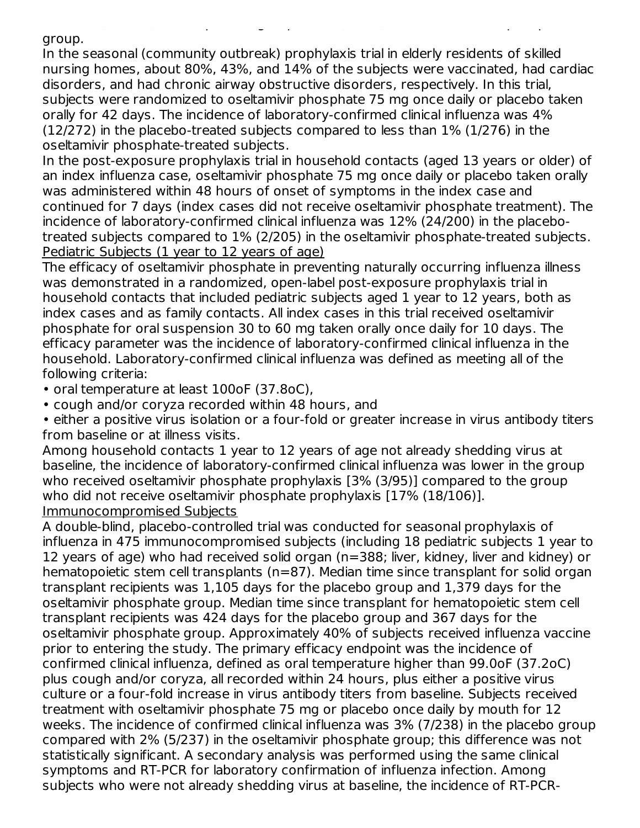group.

In the seasonal (community outbreak) prophylaxis trial in elderly residents of skilled nursing homes, about 80%, 43%, and 14% of the subjects were vaccinated, had cardiac disorders, and had chronic airway obstructive disorders, respectively. In this trial, subjects were randomized to oseltamivir phosphate 75 mg once daily or placebo taken orally for 42 days. The incidence of laboratory-confirmed clinical influenza was 4% (12/272) in the placebo-treated subjects compared to less than 1% (1/276) in the oseltamivir phosphate-treated subjects.

from 5% (25/519) for the placebo group to 1% (6/520) for the oseltamivir phosphate

In the post-exposure prophylaxis trial in household contacts (aged 13 years or older) of an index influenza case, oseltamivir phosphate 75 mg once daily or placebo taken orally was administered within 48 hours of onset of symptoms in the index case and continued for 7 days (index cases did not receive oseltamivir phosphate treatment). The incidence of laboratory-confirmed clinical influenza was 12% (24/200) in the placebotreated subjects compared to 1% (2/205) in the oseltamivir phosphate-treated subjects. Pediatric Subjects (1 year to 12 years of age)

The efficacy of oseltamivir phosphate in preventing naturally occurring influenza illness was demonstrated in a randomized, open-label post-exposure prophylaxis trial in household contacts that included pediatric subjects aged 1 year to 12 years, both as index cases and as family contacts. All index cases in this trial received oseltamivir phosphate for oral suspension 30 to 60 mg taken orally once daily for 10 days. The efficacy parameter was the incidence of laboratory-confirmed clinical influenza in the household. Laboratory-confirmed clinical influenza was defined as meeting all of the following criteria:

- oral temperature at least 100oF (37.8oC),
- cough and/or coryza recorded within 48 hours, and

• either a positive virus isolation or a four-fold or greater increase in virus antibody titers from baseline or at illness visits.

Among household contacts 1 year to 12 years of age not already shedding virus at baseline, the incidence of laboratory-confirmed clinical influenza was lower in the group who received oseltamivir phosphate prophylaxis [3% (3/95)] compared to the group who did not receive oseltamivir phosphate prophylaxis [17% (18/106)]. Immunocompromised Subjects

A double-blind, placebo-controlled trial was conducted for seasonal prophylaxis of influenza in 475 immunocompromised subjects (including 18 pediatric subjects 1 year to 12 years of age) who had received solid organ (n=388; liver, kidney, liver and kidney) or hematopoietic stem cell transplants (n=87). Median time since transplant for solid organ transplant recipients was 1,105 days for the placebo group and 1,379 days for the oseltamivir phosphate group. Median time since transplant for hematopoietic stem cell transplant recipients was 424 days for the placebo group and 367 days for the oseltamivir phosphate group. Approximately 40% of subjects received influenza vaccine prior to entering the study. The primary efficacy endpoint was the incidence of confirmed clinical influenza, defined as oral temperature higher than 99.0oF (37.2oC) plus cough and/or coryza, all recorded within 24 hours, plus either a positive virus culture or a four-fold increase in virus antibody titers from baseline. Subjects received treatment with oseltamivir phosphate 75 mg or placebo once daily by mouth for 12 weeks. The incidence of confirmed clinical influenza was 3% (7/238) in the placebo group compared with 2% (5/237) in the oseltamivir phosphate group; this difference was not statistically significant. A secondary analysis was performed using the same clinical symptoms and RT-PCR for laboratory confirmation of influenza infection. Among subjects who were not already shedding virus at baseline, the incidence of RT-PCR-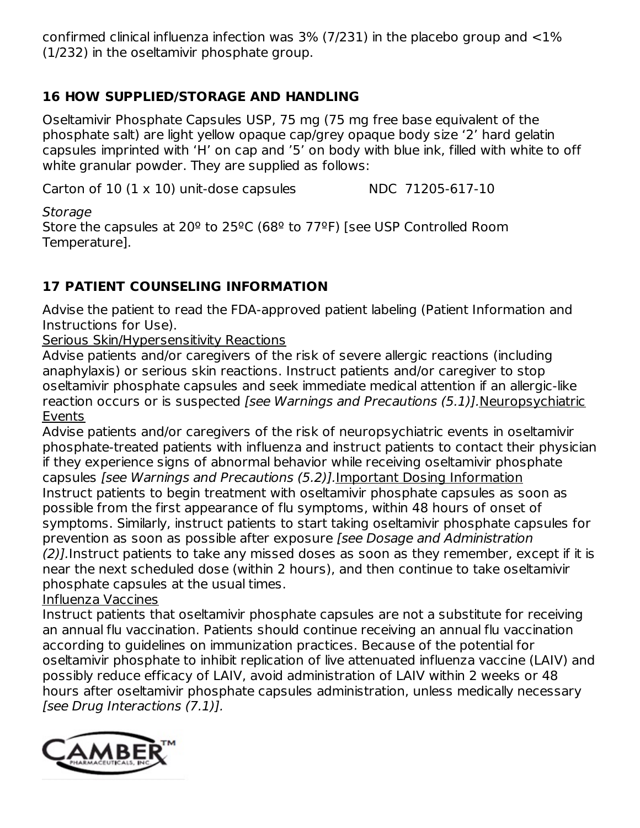confirmed clinical influenza infection was  $3\%$  (7/231) in the placebo group and  $\langle 1\%$ (1/232) in the oseltamivir phosphate group.

# **16 HOW SUPPLIED/STORAGE AND HANDLING**

Oseltamivir Phosphate Capsules USP, 75 mg (75 mg free base equivalent of the phosphate salt) are light yellow opaque cap/grey opaque body size '2' hard gelatin capsules imprinted with 'H' on cap and '5' on body with blue ink, filled with white to off white granular powder. They are supplied as follows:

Carton of  $10$   $(1 \times 10)$  unit-dose capsules NDC 71205-617-10

Storage

Store the capsules at 20º to 25ºC (68º to 77ºF) [see USP Controlled Room Temperature].

# **17 PATIENT COUNSELING INFORMATION**

Advise the patient to read the FDA-approved patient labeling (Patient Information and Instructions for Use).

Serious Skin/Hypersensitivity Reactions

Advise patients and/or caregivers of the risk of severe allergic reactions (including anaphylaxis) or serious skin reactions. Instruct patients and/or caregiver to stop oseltamivir phosphate capsules and seek immediate medical attention if an allergic-like reaction occurs or is suspected [see Warnings and Precautions (5.1)].Neuropsychiatric Events

Advise patients and/or caregivers of the risk of neuropsychiatric events in oseltamivir phosphate-treated patients with influenza and instruct patients to contact their physician if they experience signs of abnormal behavior while receiving oseltamivir phosphate capsules [see Warnings and Precautions (5.2)].Important Dosing Information Instruct patients to begin treatment with oseltamivir phosphate capsules as soon as possible from the first appearance of flu symptoms, within 48 hours of onset of symptoms. Similarly, instruct patients to start taking oseltamivir phosphate capsules for prevention as soon as possible after exposure [see Dosage and Administration (2)].Instruct patients to take any missed doses as soon as they remember, except if it is near the next scheduled dose (within 2 hours), and then continue to take oseltamivir phosphate capsules at the usual times.

### Influenza Vaccines

Instruct patients that oseltamivir phosphate capsules are not a substitute for receiving an annual flu vaccination. Patients should continue receiving an annual flu vaccination according to guidelines on immunization practices. Because of the potential for oseltamivir phosphate to inhibit replication of live attenuated influenza vaccine (LAIV) and possibly reduce efficacy of LAIV, avoid administration of LAIV within 2 weeks or 48 hours after oseltamivir phosphate capsules administration, unless medically necessary [see Drug Interactions (7.1)].

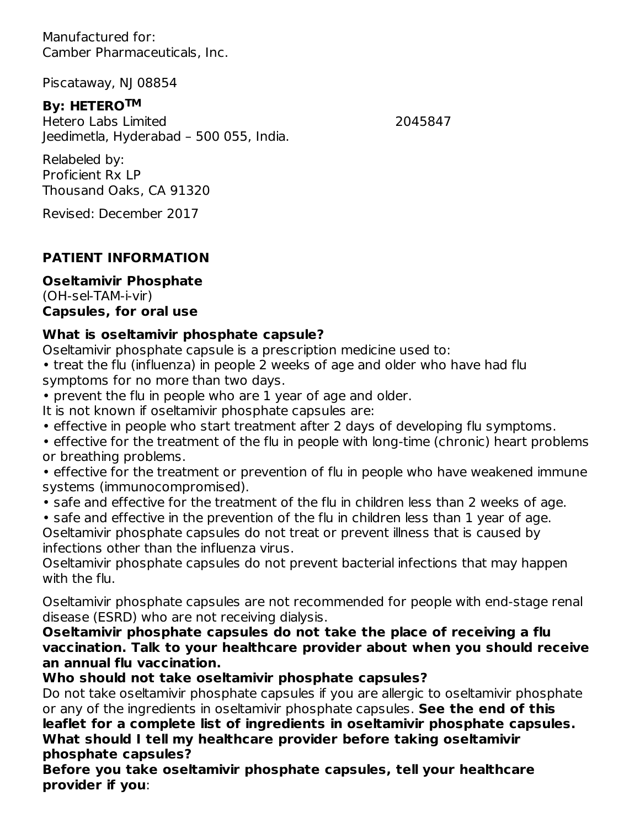Manufactured for: Camber Pharmaceuticals, Inc.

Piscataway, NJ 08854

## **By: HETERO TM**

Hetero Labs Limited 2045847 Jeedimetla, Hyderabad – 500 055, India.

Relabeled by: Proficient Rx LP Thousand Oaks, CA 91320

Revised: December 2017

# **PATIENT INFORMATION**

# **Oseltamivir Phosphate**

(OH-sel-TAM-i-vir) **Capsules, for oral use**

## **What is oseltamivir phosphate capsule?**

Oseltamivir phosphate capsule is a prescription medicine used to:

- treat the flu (influenza) in people 2 weeks of age and older who have had flu symptoms for no more than two days.
- prevent the flu in people who are 1 year of age and older.
- It is not known if oseltamivir phosphate capsules are:
- effective in people who start treatment after 2 days of developing flu symptoms.
- effective for the treatment of the flu in people with long-time (chronic) heart problems or breathing problems.
- effective for the treatment or prevention of flu in people who have weakened immune systems (immunocompromised).
- safe and effective for the treatment of the flu in children less than 2 weeks of age.
- safe and effective in the prevention of the flu in children less than 1 year of age.

Oseltamivir phosphate capsules do not treat or prevent illness that is caused by infections other than the influenza virus.

Oseltamivir phosphate capsules do not prevent bacterial infections that may happen with the flu.

Oseltamivir phosphate capsules are not recommended for people with end-stage renal disease (ESRD) who are not receiving dialysis.

**Oseltamivir phosphate capsules do not take the place of receiving a flu vaccination. Talk to your healthcare provider about when you should receive an annual flu vaccination.**

# **Who should not take oseltamivir phosphate capsules?**

Do not take oseltamivir phosphate capsules if you are allergic to oseltamivir phosphate or any of the ingredients in oseltamivir phosphate capsules. **See the end of this leaflet for a complete list of ingredients in oseltamivir phosphate capsules. What should I tell my healthcare provider before taking oseltamivir phosphate capsules?**

**Before you take oseltamivir phosphate capsules, tell your healthcare provider if you**: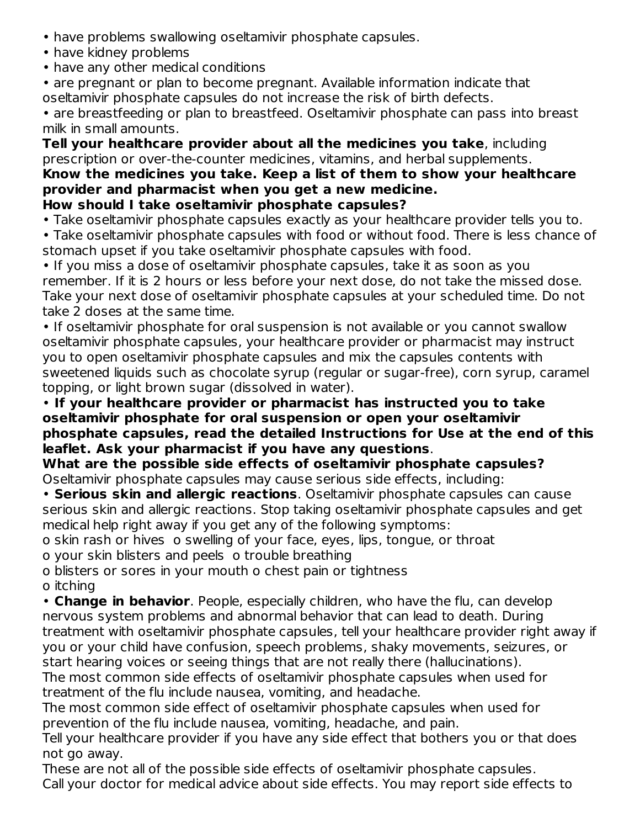- have problems swallowing oseltamivir phosphate capsules.
- have kidney problems
- have any other medical conditions

• are pregnant or plan to become pregnant. Available information indicate that oseltamivir phosphate capsules do not increase the risk of birth defects.

• are breastfeeding or plan to breastfeed. Oseltamivir phosphate can pass into breast milk in small amounts.

**Tell your healthcare provider about all the medicines you take**, including prescription or over-the-counter medicines, vitamins, and herbal supplements. **Know the medicines you take. Keep a list of them to show your healthcare provider and pharmacist when you get a new medicine.**

- **How should I take oseltamivir phosphate capsules?**
- Take oseltamivir phosphate capsules exactly as your healthcare provider tells you to.

• Take oseltamivir phosphate capsules with food or without food. There is less chance of stomach upset if you take oseltamivir phosphate capsules with food.

• If you miss a dose of oseltamivir phosphate capsules, take it as soon as you remember. If it is 2 hours or less before your next dose, do not take the missed dose. Take your next dose of oseltamivir phosphate capsules at your scheduled time. Do not take 2 doses at the same time.

• If oseltamivir phosphate for oral suspension is not available or you cannot swallow oseltamivir phosphate capsules, your healthcare provider or pharmacist may instruct you to open oseltamivir phosphate capsules and mix the capsules contents with sweetened liquids such as chocolate syrup (regular or sugar-free), corn syrup, caramel topping, or light brown sugar (dissolved in water).

• **If your healthcare provider or pharmacist has instructed you to take oseltamivir phosphate for oral suspension or open your oseltamivir phosphate capsules, read the detailed Instructions for Use at the end of this leaflet. Ask your pharmacist if you have any questions**.

**What are the possible side effects of oseltamivir phosphate capsules?** Oseltamivir phosphate capsules may cause serious side effects, including:

• **Serious skin and allergic reactions**. Oseltamivir phosphate capsules can cause serious skin and allergic reactions. Stop taking oseltamivir phosphate capsules and get medical help right away if you get any of the following symptoms:

o skin rash or hives o swelling of your face, eyes, lips, tongue, or throat

o your skin blisters and peels o trouble breathing

o blisters or sores in your mouth o chest pain or tightness o itching

• **Change in behavior**. People, especially children, who have the flu, can develop nervous system problems and abnormal behavior that can lead to death. During treatment with oseltamivir phosphate capsules, tell your healthcare provider right away if you or your child have confusion, speech problems, shaky movements, seizures, or start hearing voices or seeing things that are not really there (hallucinations).

The most common side effects of oseltamivir phosphate capsules when used for treatment of the flu include nausea, vomiting, and headache.

The most common side effect of oseltamivir phosphate capsules when used for prevention of the flu include nausea, vomiting, headache, and pain.

Tell your healthcare provider if you have any side effect that bothers you or that does not go away.

These are not all of the possible side effects of oseltamivir phosphate capsules. Call your doctor for medical advice about side effects. You may report side effects to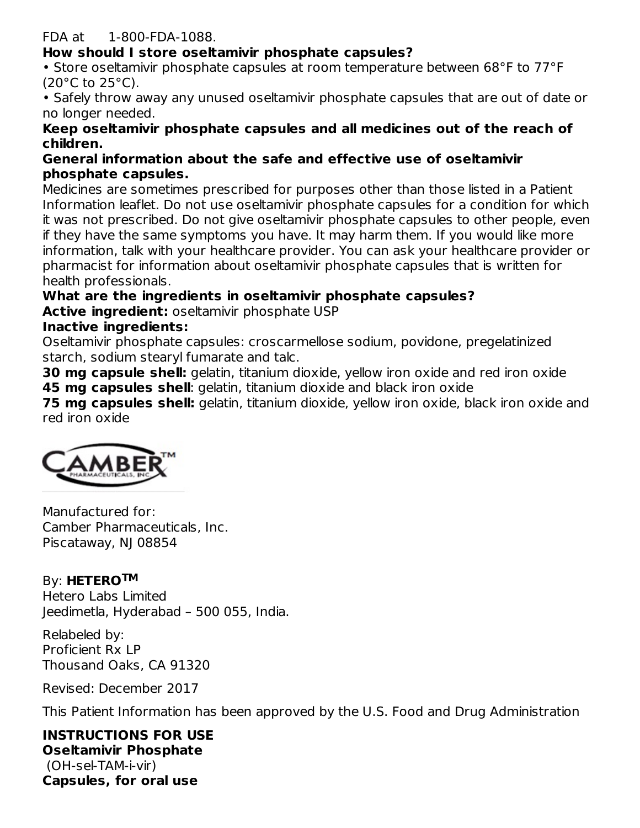#### FDA at 1-800-FDA-1088.

### **How should I store oseltamivir phosphate capsules?**

• Store oseltamivir phosphate capsules at room temperature between 68°F to 77°F  $(20^{\circ}$ C to  $25^{\circ}$ C).

• Safely throw away any unused oseltamivir phosphate capsules that are out of date or no longer needed.

#### **Keep oseltamivir phosphate capsules and all medicines out of the reach of children.**

#### **General information about the safe and effective use of oseltamivir phosphate capsules.**

Medicines are sometimes prescribed for purposes other than those listed in a Patient Information leaflet. Do not use oseltamivir phosphate capsules for a condition for which it was not prescribed. Do not give oseltamivir phosphate capsules to other people, even if they have the same symptoms you have. It may harm them. If you would like more information, talk with your healthcare provider. You can ask your healthcare provider or pharmacist for information about oseltamivir phosphate capsules that is written for health professionals.

# **What are the ingredients in oseltamivir phosphate capsules?**

**Active ingredient:** oseltamivir phosphate USP

### **Inactive ingredients:**

Oseltamivir phosphate capsules: croscarmellose sodium, povidone, pregelatinized starch, sodium stearyl fumarate and talc.

**30 mg capsule shell:** gelatin, titanium dioxide, yellow iron oxide and red iron oxide **45 mg capsules shell**: gelatin, titanium dioxide and black iron oxide

**75 mg capsules shell:** gelatin, titanium dioxide, yellow iron oxide, black iron oxide and red iron oxide



Manufactured for: Camber Pharmaceuticals, Inc. Piscataway, NJ 08854

# By: HETEROTM

Hetero Labs Limited Jeedimetla, Hyderabad – 500 055, India.

Relabeled by: Proficient Rx LP Thousand Oaks, CA 91320

Revised: December 2017

This Patient Information has been approved by the U.S. Food and Drug Administration

**INSTRUCTIONS FOR USE Oseltamivir Phosphate** (OH-sel-TAM-i-vir) **Capsules, for oral use**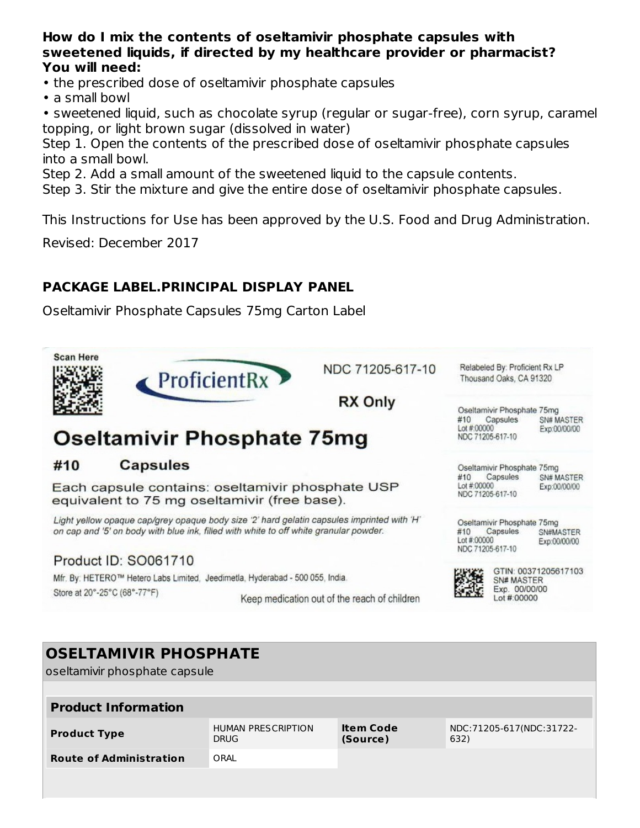#### **How do I mix the contents of oseltamivir phosphate capsules with sweetened liquids, if directed by my healthcare provider or pharmacist? You will need:**

- the prescribed dose of oseltamivir phosphate capsules
- a small bowl

• sweetened liquid, such as chocolate syrup (regular or sugar-free), corn syrup, caramel topping, or light brown sugar (dissolved in water)

Step 1. Open the contents of the prescribed dose of oseltamivir phosphate capsules into a small bowl.

Step 2. Add a small amount of the sweetened liquid to the capsule contents.

Step 3. Stir the mixture and give the entire dose of oseltamivir phosphate capsules.

This Instructions for Use has been approved by the U.S. Food and Drug Administration.

Revised: December 2017

## **PACKAGE LABEL.PRINCIPAL DISPLAY PANEL**

Oseltamivir Phosphate Capsules 75mg Carton Label



oseltamivir phosphate capsule

| <b>Product Information</b>             |                                          |                              |                                  |  |  |  |
|----------------------------------------|------------------------------------------|------------------------------|----------------------------------|--|--|--|
| <b>Product Type</b>                    | <b>HUMAN PRESCRIPTION</b><br><b>DRUG</b> | <b>Item Code</b><br>(Source) | NDC:71205-617(NDC:31722-<br>632) |  |  |  |
| ORAL<br><b>Route of Administration</b> |                                          |                              |                                  |  |  |  |
|                                        |                                          |                              |                                  |  |  |  |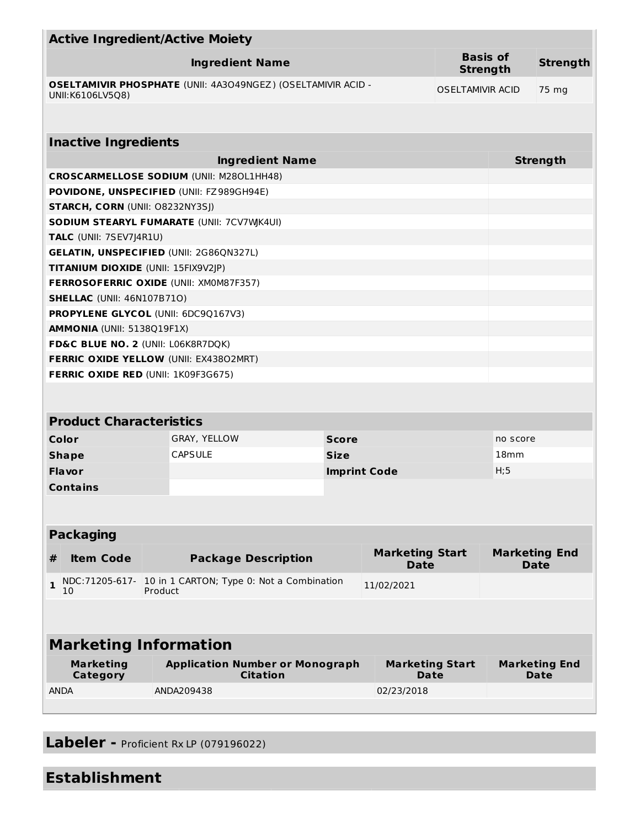|                                        | <b>Active Ingredient/Active Moiety</b>                              |                                                         |                                       |                                    |                  |                                     |
|----------------------------------------|---------------------------------------------------------------------|---------------------------------------------------------|---------------------------------------|------------------------------------|------------------|-------------------------------------|
|                                        | <b>Ingredient Name</b>                                              |                                                         |                                       | <b>Basis of</b><br><b>Strength</b> |                  | <b>Strength</b>                     |
| UNII:K6106LV5Q8)                       | <b>OSELTAMIVIR PHOSPHATE (UNII: 4A3O49NGEZ) (OSELTAMIVIR ACID -</b> |                                                         |                                       | <b>OSELTAMIVIR ACID</b>            |                  | 75 mg                               |
|                                        |                                                                     |                                                         |                                       |                                    |                  |                                     |
| <b>Inactive Ingredients</b>            |                                                                     |                                                         |                                       |                                    |                  |                                     |
|                                        | <b>Ingredient Name</b>                                              |                                                         |                                       |                                    |                  | <b>Strength</b>                     |
|                                        | <b>CROSCARMELLOSE SODIUM (UNII: M280L1HH48)</b>                     |                                                         |                                       |                                    |                  |                                     |
|                                        | POVIDONE, UNSPECIFIED (UNII: FZ989GH94E)                            |                                                         |                                       |                                    |                  |                                     |
| <b>STARCH, CORN (UNII: O8232NY3SJ)</b> |                                                                     |                                                         |                                       |                                    |                  |                                     |
|                                        | SODIUM STEARYL FUMARATE (UNII: 7CV7WJK4UI)                          |                                                         |                                       |                                    |                  |                                     |
| TALC (UNII: 7SEV7J4R1U)                |                                                                     |                                                         |                                       |                                    |                  |                                     |
|                                        | <b>GELATIN, UNSPECIFIED (UNII: 2G86QN327L)</b>                      |                                                         |                                       |                                    |                  |                                     |
| TITANIUM DIOXIDE (UNII: 15FIX9V2JP)    |                                                                     |                                                         |                                       |                                    |                  |                                     |
|                                        | FERROSOFERRIC OXIDE (UNII: XM0M87F357)                              |                                                         |                                       |                                    |                  |                                     |
| <b>SHELLAC</b> (UNII: 46N107B71O)      |                                                                     |                                                         |                                       |                                    |                  |                                     |
|                                        | PROPYLENE GLYCOL (UNII: 6DC9Q167V3)                                 |                                                         |                                       |                                    |                  |                                     |
| AMMONIA (UNII: 5138Q19F1X)             |                                                                     |                                                         |                                       |                                    |                  |                                     |
| FD&C BLUE NO. 2 (UNII: L06K8R7DQK)     |                                                                     |                                                         |                                       |                                    |                  |                                     |
|                                        | FERRIC OXIDE YELLOW (UNII: EX43802MRT)                              |                                                         |                                       |                                    |                  |                                     |
|                                        | <b>FERRIC OXIDE RED (UNII: 1K09F3G675)</b>                          |                                                         |                                       |                                    |                  |                                     |
|                                        |                                                                     |                                                         |                                       |                                    |                  |                                     |
|                                        |                                                                     |                                                         |                                       |                                    |                  |                                     |
| <b>Product Characteristics</b>         |                                                                     |                                                         |                                       |                                    |                  |                                     |
| Color                                  | GRAY, YELLOW                                                        | <b>Score</b>                                            |                                       |                                    | no score         |                                     |
| <b>Shape</b>                           | <b>CAPSULE</b>                                                      | <b>Size</b>                                             |                                       |                                    | 18 <sub>mm</sub> |                                     |
| <b>Flavor</b>                          |                                                                     | <b>Imprint Code</b>                                     |                                       |                                    | H;5              |                                     |
| Contains                               |                                                                     |                                                         |                                       |                                    |                  |                                     |
|                                        |                                                                     |                                                         |                                       |                                    |                  |                                     |
|                                        |                                                                     |                                                         |                                       |                                    |                  |                                     |
| <b>Packaging</b>                       |                                                                     |                                                         |                                       |                                    |                  |                                     |
| <b>Item Code</b><br>#                  | <b>Package Description</b>                                          |                                                         | <b>Marketing Start</b><br><b>Date</b> |                                    |                  | <b>Marketing End</b><br><b>Date</b> |
| NDC:71205-617-<br>$\mathbf{1}$<br>10   | Product                                                             | 10 in 1 CARTON; Type 0: Not a Combination<br>11/02/2021 |                                       |                                    |                  |                                     |
|                                        |                                                                     |                                                         |                                       |                                    |                  |                                     |
|                                        | <b>Marketing Information</b>                                        |                                                         |                                       |                                    |                  |                                     |
| <b>Marketing</b><br>Category           | <b>Application Number or Monograph</b><br><b>Citation</b>           |                                                         | <b>Marketing Start</b><br><b>Date</b> |                                    |                  | <b>Marketing End</b><br>Date        |
| <b>ANDA</b>                            | ANDA209438                                                          |                                                         | 02/23/2018                            |                                    |                  |                                     |
|                                        |                                                                     |                                                         |                                       |                                    |                  |                                     |

**Labeler -** Proficient Rx LP (079196022)

# **Establishment**